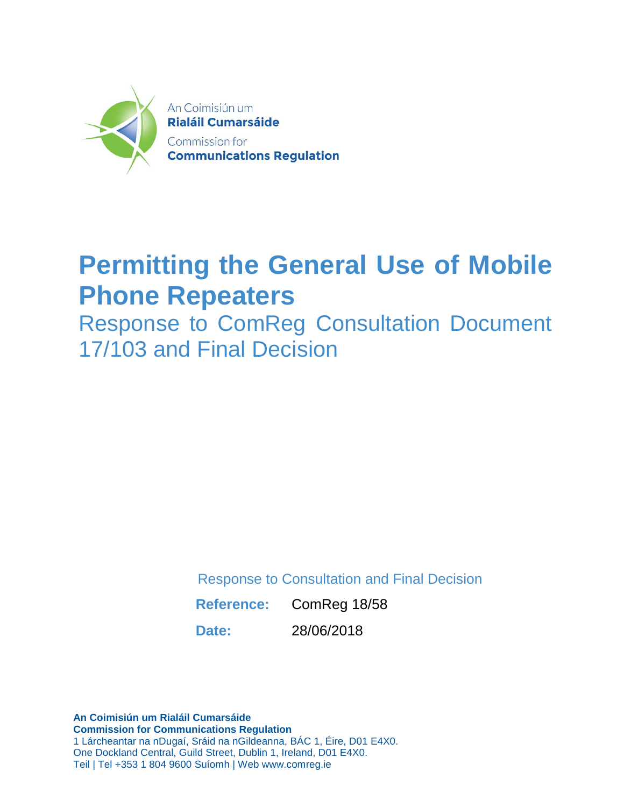

# **Permitting the General Use of Mobile Phone Repeaters**

Response to ComReg Consultation Document 17/103 and Final Decision

Response to Consultation and Final Decision

**Reference:** ComReg 18/58

**Date:** 28/06/2018

**An Coimisiún um Rialáil Cumarsáide Commission for Communications Regulation** 1 Lárcheantar na nDugaí, Sráid na nGildeanna, BÁC 1, Éire, D01 E4X0. One Dockland Central, Guild Street, Dublin 1, Ireland, D01 E4X0. Teil | Tel +353 1 804 9600 Suíomh | Web www.comreg.ie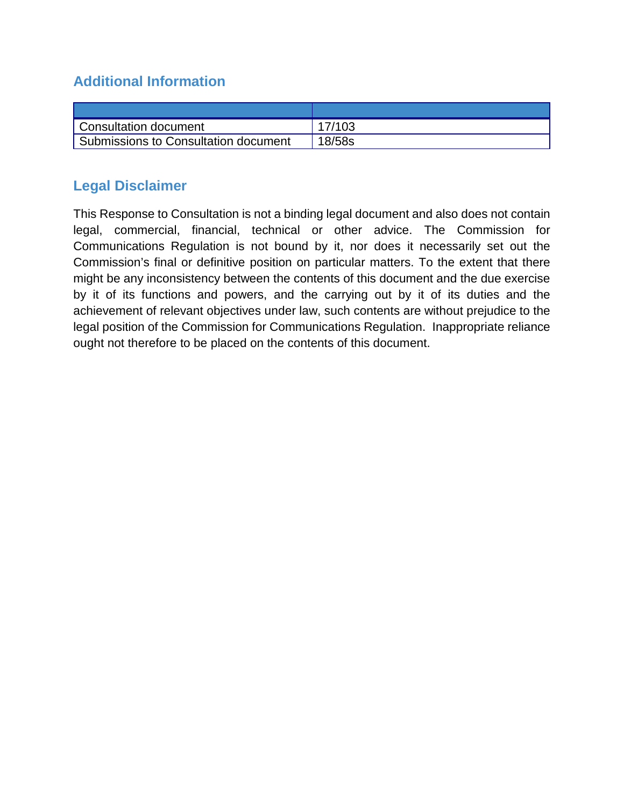## **Additional Information**

| Consultation document                | 17/103 |
|--------------------------------------|--------|
| Submissions to Consultation document | 18/58s |

## **Legal Disclaimer**

This Response to Consultation is not a binding legal document and also does not contain legal, commercial, financial, technical or other advice. The Commission for Communications Regulation is not bound by it, nor does it necessarily set out the Commission's final or definitive position on particular matters. To the extent that there might be any inconsistency between the contents of this document and the due exercise by it of its functions and powers, and the carrying out by it of its duties and the achievement of relevant objectives under law, such contents are without prejudice to the legal position of the Commission for Communications Regulation. Inappropriate reliance ought not therefore to be placed on the contents of this document.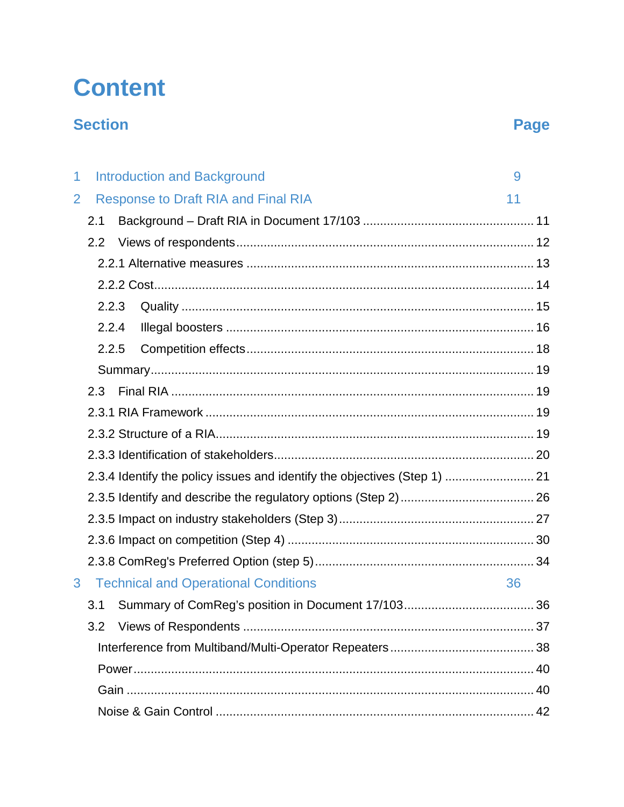# **Content**

## **Section**

## Page

| 1              | <b>Introduction and Background</b>                                        | 9  |
|----------------|---------------------------------------------------------------------------|----|
| $\overline{2}$ | <b>Response to Draft RIA and Final RIA</b>                                | 11 |
|                | 2.1                                                                       |    |
|                | 2.2                                                                       |    |
|                |                                                                           |    |
|                |                                                                           |    |
|                | 2.2.3                                                                     |    |
|                | 2.2.4                                                                     |    |
|                | 2.2.5                                                                     |    |
|                |                                                                           |    |
|                | 2.3                                                                       |    |
|                |                                                                           |    |
|                |                                                                           |    |
|                |                                                                           |    |
|                | 2.3.4 Identify the policy issues and identify the objectives (Step 1)  21 |    |
|                |                                                                           |    |
|                |                                                                           |    |
|                |                                                                           |    |
|                |                                                                           |    |
| 3              | <b>Technical and Operational Conditions</b>                               | 36 |
|                | 3.1                                                                       | 36 |
|                |                                                                           |    |
|                |                                                                           |    |
|                |                                                                           |    |
|                |                                                                           |    |
|                |                                                                           |    |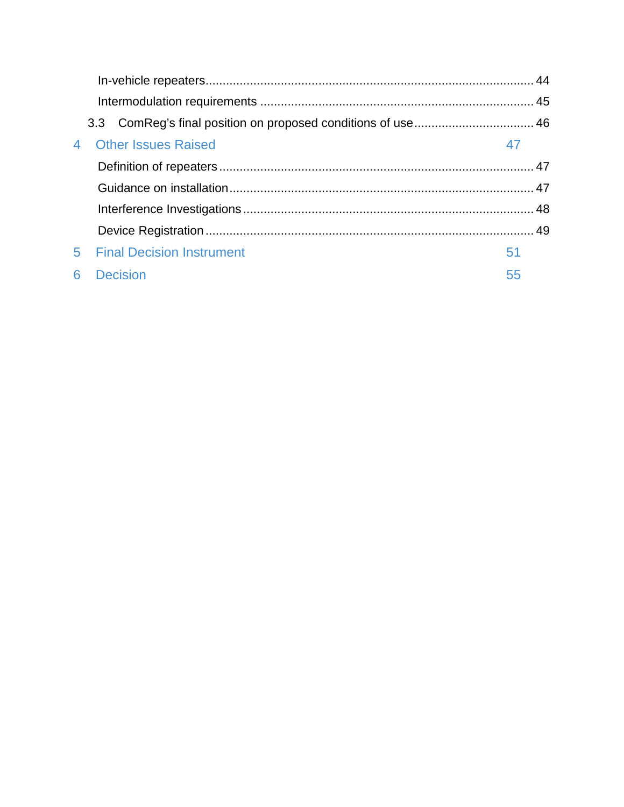|                | <b>Other Issues Raised</b>       | 47 |
|----------------|----------------------------------|----|
|                |                                  |    |
|                |                                  |    |
|                |                                  |    |
|                |                                  |    |
| 5 <sup>1</sup> | <b>Final Decision Instrument</b> | 51 |
| 6              | <b>Decision</b>                  | 55 |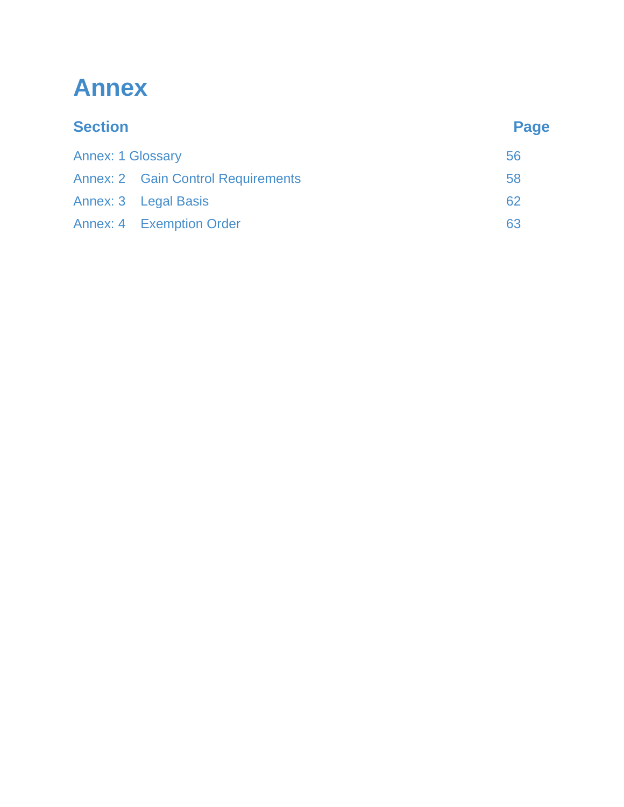# **Annex**

| <b>Section</b>           |                                           | <b>Page</b> |  |
|--------------------------|-------------------------------------------|-------------|--|
| <b>Annex: 1 Glossary</b> |                                           | 56          |  |
|                          | <b>Annex: 2 Gain Control Requirements</b> | 58          |  |
|                          | Annex: 3 Legal Basis                      | 62          |  |
|                          | <b>Annex: 4 Exemption Order</b>           | 63          |  |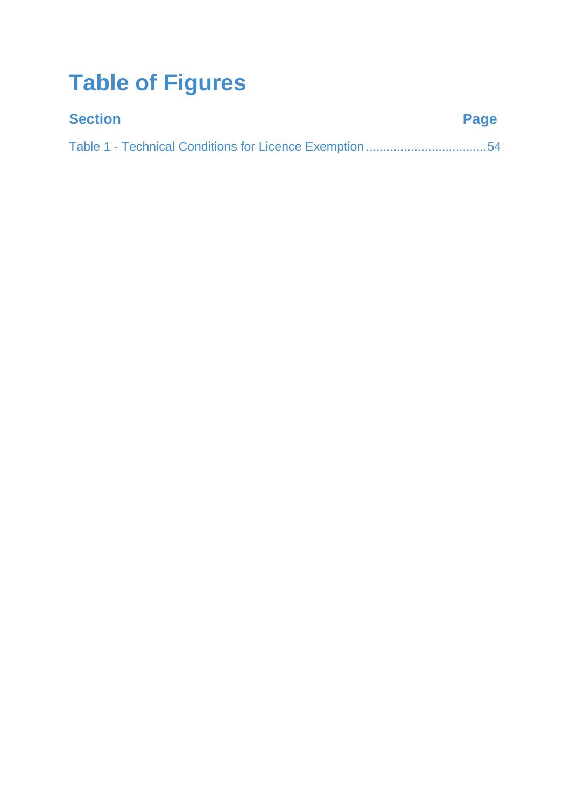# **Table of Figures**

| <b>Section</b> | Page |
|----------------|------|
|                |      |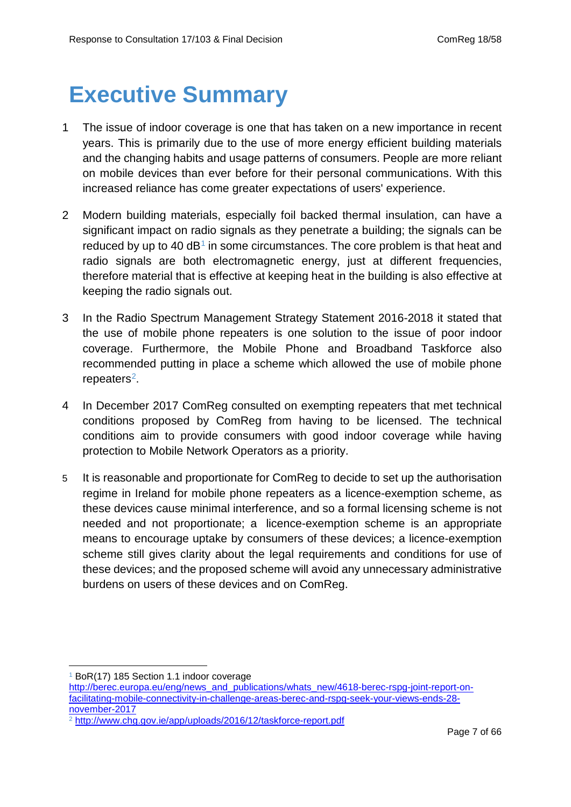## **Executive Summary**

- 1 The issue of indoor coverage is one that has taken on a new importance in recent years. This is primarily due to the use of more energy efficient building materials and the changing habits and usage patterns of consumers. People are more reliant on mobile devices than ever before for their personal communications. With this increased reliance has come greater expectations of users' experience.
- 2 Modern building materials, especially foil backed thermal insulation, can have a significant impact on radio signals as they penetrate a building; the signals can be reduced by up to 40  $dB<sup>1</sup>$  $dB<sup>1</sup>$  $dB<sup>1</sup>$  in some circumstances. The core problem is that heat and radio signals are both electromagnetic energy, just at different frequencies, therefore material that is effective at keeping heat in the building is also effective at keeping the radio signals out.
- 3 In the Radio Spectrum Management Strategy Statement 2016-2018 it stated that the use of mobile phone repeaters is one solution to the issue of poor indoor coverage. Furthermore, the Mobile Phone and Broadband Taskforce also recommended putting in place a scheme which allowed the use of mobile phone repeaters<sup>2</sup>.
- 4 In December 2017 ComReg consulted on exempting repeaters that met technical conditions proposed by ComReg from having to be licensed. The technical conditions aim to provide consumers with good indoor coverage while having protection to Mobile Network Operators as a priority.
- 5 It is reasonable and proportionate for ComReg to decide to set up the authorisation regime in Ireland for mobile phone repeaters as a licence-exemption scheme, as these devices cause minimal interference, and so a formal licensing scheme is not needed and not proportionate; a licence-exemption scheme is an appropriate means to encourage uptake by consumers of these devices; a licence-exemption scheme still gives clarity about the legal requirements and conditions for use of these devices; and the proposed scheme will avoid any unnecessary administrative burdens on users of these devices and on ComReg.

<sup>1</sup> BoR(17) 185 Section 1.1 indoor coverage -

<span id="page-6-0"></span>[http://berec.europa.eu/eng/news\\_and\\_publications/whats\\_new/4618-berec-rspg-joint-report-on](http://berec.europa.eu/eng/news_and_publications/whats_new/4618-berec-rspg-joint-report-on-facilitating-mobile-connectivity-in-challenge-areas-berec-and-rspg-seek-your-views-ends-28-november-2017)[facilitating-mobile-connectivity-in-challenge-areas-berec-and-rspg-seek-your-views-ends-28](http://berec.europa.eu/eng/news_and_publications/whats_new/4618-berec-rspg-joint-report-on-facilitating-mobile-connectivity-in-challenge-areas-berec-and-rspg-seek-your-views-ends-28-november-2017) [november-2017](http://berec.europa.eu/eng/news_and_publications/whats_new/4618-berec-rspg-joint-report-on-facilitating-mobile-connectivity-in-challenge-areas-berec-and-rspg-seek-your-views-ends-28-november-2017)

<span id="page-6-1"></span><sup>2</sup> <http://www.chg.gov.ie/app/uploads/2016/12/taskforce-report.pdf>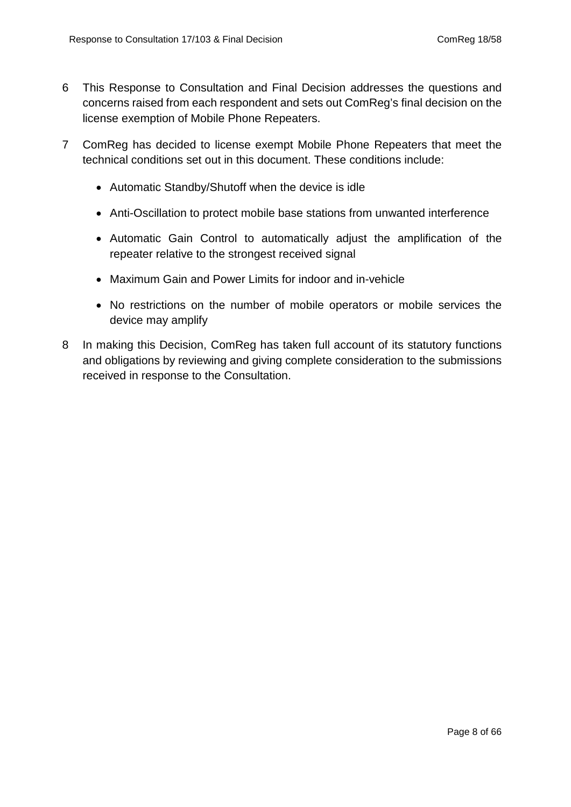- 6 This Response to Consultation and Final Decision addresses the questions and concerns raised from each respondent and sets out ComReg's final decision on the license exemption of Mobile Phone Repeaters.
- 7 ComReg has decided to license exempt Mobile Phone Repeaters that meet the technical conditions set out in this document. These conditions include:
	- Automatic Standby/Shutoff when the device is idle
	- Anti-Oscillation to protect mobile base stations from unwanted interference
	- Automatic Gain Control to automatically adjust the amplification of the repeater relative to the strongest received signal
	- Maximum Gain and Power Limits for indoor and in-vehicle
	- No restrictions on the number of mobile operators or mobile services the device may amplify
- 8 In making this Decision, ComReg has taken full account of its statutory functions and obligations by reviewing and giving complete consideration to the submissions received in response to the Consultation.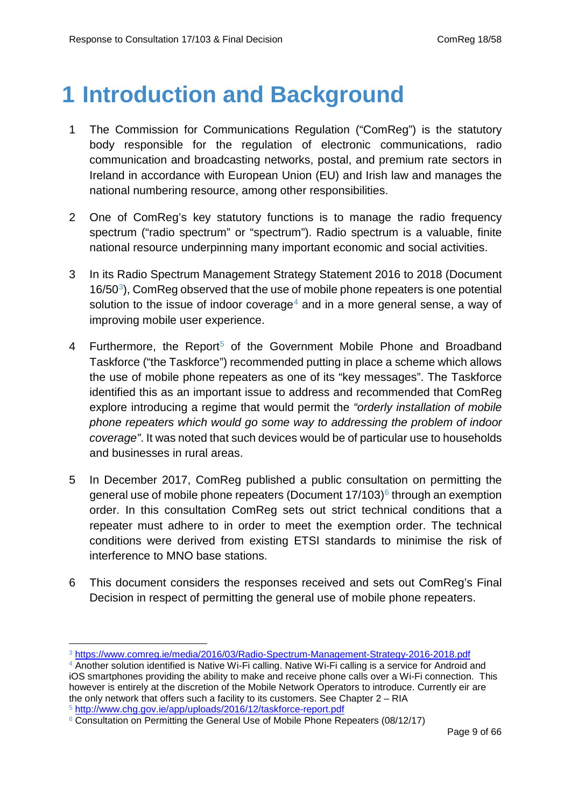## <span id="page-8-0"></span>**1 Introduction and Background**

- 1 The Commission for Communications Regulation ("ComReg") is the statutory body responsible for the regulation of electronic communications, radio communication and broadcasting networks, postal, and premium rate sectors in Ireland in accordance with European Union (EU) and Irish law and manages the national numbering resource, among other responsibilities.
- 2 One of ComReg's key statutory functions is to manage the radio frequency spectrum ("radio spectrum" or "spectrum"). Radio spectrum is a valuable, finite national resource underpinning many important economic and social activities.
- 3 In its Radio Spectrum Management Strategy Statement 2016 to 2018 (Document  $16/50<sup>3</sup>$  $16/50<sup>3</sup>$  $16/50<sup>3</sup>$ ), ComReg observed that the use of mobile phone repeaters is one potential solution to the issue of indoor coverage<sup>[4](#page-8-2)</sup> and in a more general sense, a way of improving mobile user experience.
- 4 Furthermore, the Report<sup>[5](#page-8-3)</sup> of the Government Mobile Phone and Broadband Taskforce ("the Taskforce") recommended putting in place a scheme which allows the use of mobile phone repeaters as one of its "key messages". The Taskforce identified this as an important issue to address and recommended that ComReg explore introducing a regime that would permit the *"orderly installation of mobile phone repeaters which would go some way to addressing the problem of indoor coverage"*. It was noted that such devices would be of particular use to households and businesses in rural areas.
- 5 In December 2017, ComReg published a public consultation on permitting the general use of mobile phone repeaters (Document  $17/103$ ) $\textdegree$  through an exemption order. In this consultation ComReg sets out strict technical conditions that a repeater must adhere to in order to meet the exemption order. The technical conditions were derived from existing ETSI standards to minimise the risk of interference to MNO base stations.
- 6 This document considers the responses received and sets out ComReg's Final Decision in respect of permitting the general use of mobile phone repeaters.

<sup>3</sup> <https://www.comreg.ie/media/2016/03/Radio-Spectrum-Management-Strategy-2016-2018.pdf> -

<span id="page-8-2"></span><span id="page-8-1"></span><sup>&</sup>lt;sup>4</sup> Another solution identified is Native Wi-Fi calling. Native Wi-Fi calling is a service for Android and iOS smartphones providing the ability to make and receive phone calls over a Wi-Fi connection. This however is entirely at the discretion of the Mobile Network Operators to introduce. Currently eir are the only network that offers such a facility to its customers. See Chapter 2 – RIA <sup>5</sup> <http://www.chg.gov.ie/app/uploads/2016/12/taskforce-report.pdf>

<span id="page-8-4"></span><span id="page-8-3"></span><sup>6</sup> Consultation on Permitting the General Use of Mobile Phone Repeaters (08/12/17)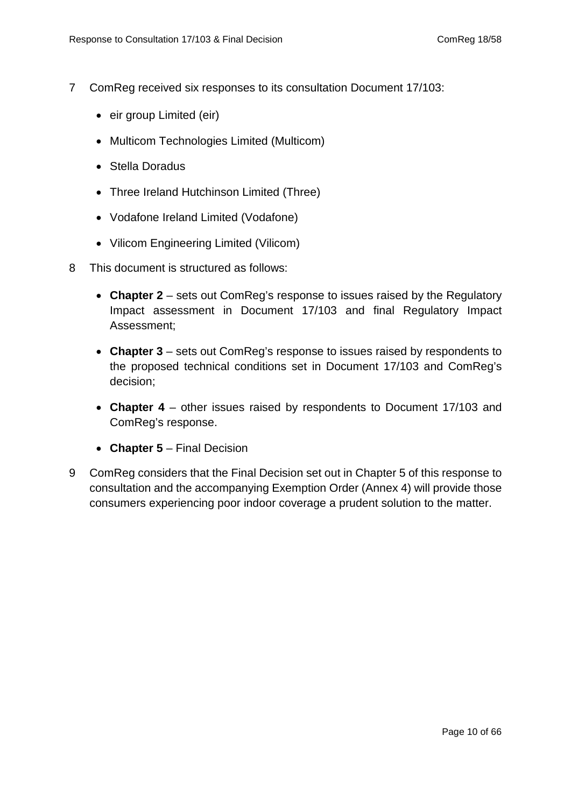- 7 ComReg received six responses to its consultation Document 17/103:
	- eir group Limited (eir)
	- Multicom Technologies Limited (Multicom)
	- Stella Doradus
	- Three Ireland Hutchinson Limited (Three)
	- Vodafone Ireland Limited (Vodafone)
	- Vilicom Engineering Limited (Vilicom)
- 8 This document is structured as follows:
	- **Chapter 2** sets out ComReg's response to issues raised by the Regulatory Impact assessment in Document 17/103 and final Regulatory Impact Assessment;
	- **Chapter 3**  sets out ComReg's response to issues raised by respondents to the proposed technical conditions set in Document 17/103 and ComReg's decision;
	- **Chapter 4** other issues raised by respondents to Document 17/103 and ComReg's response.
	- **Chapter 5** Final Decision
- 9 ComReg considers that the Final Decision set out in Chapter 5 of this response to consultation and the accompanying Exemption Order (Annex 4) will provide those consumers experiencing poor indoor coverage a prudent solution to the matter.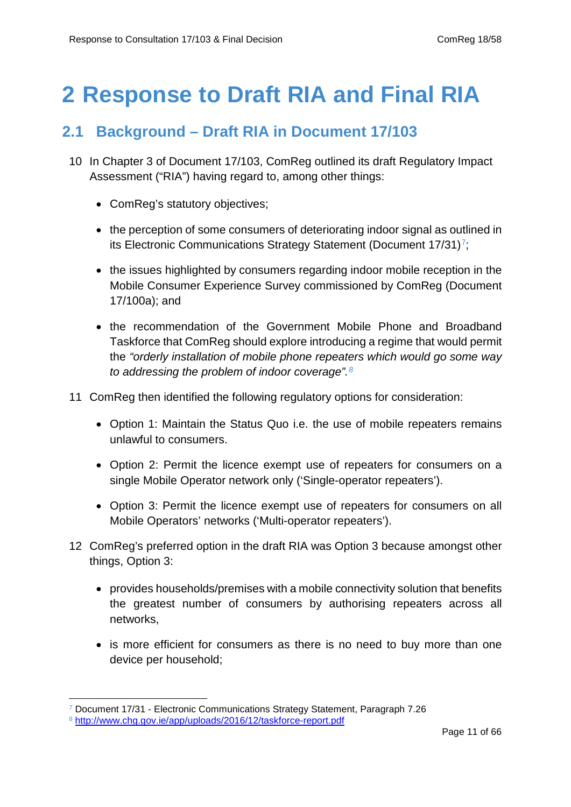# <span id="page-10-1"></span><span id="page-10-0"></span>**2 Response to Draft RIA and Final RIA**

## **2.1 Background – Draft RIA in Document 17/103**

- 10 In Chapter 3 of Document 17/103, ComReg outlined its draft Regulatory Impact Assessment ("RIA") having regard to, among other things:
	- ComReg's statutory objectives;
	- the perception of some consumers of deteriorating indoor signal as outlined in its Electronic Communications Strategy Statement (Document  $17/31$ <sup>7</sup>;
	- the issues highlighted by consumers regarding indoor mobile reception in the Mobile Consumer Experience Survey commissioned by ComReg (Document 17/100a); and
	- the recommendation of the Government Mobile Phone and Broadband Taskforce that ComReg should explore introducing a regime that would permit the *"orderly installation of mobile phone repeaters which would go some way to addressing the problem of indoor coverage".[8](#page-10-3)*
- 11 ComReg then identified the following regulatory options for consideration:
	- Option 1: Maintain the Status Quo i.e. the use of mobile repeaters remains unlawful to consumers.
	- Option 2: Permit the licence exempt use of repeaters for consumers on a single Mobile Operator network only ('Single-operator repeaters').
	- Option 3: Permit the licence exempt use of repeaters for consumers on all Mobile Operators' networks ('Multi-operator repeaters').
- 12 ComReg's preferred option in the draft RIA was Option 3 because amongst other things, Option 3:
	- provides households/premises with a mobile connectivity solution that benefits the greatest number of consumers by authorising repeaters across all networks,
	- is more efficient for consumers as there is no need to buy more than one device per household;

-

<span id="page-10-2"></span><sup>7</sup> Document 17/31 - Electronic Communications Strategy Statement, Paragraph 7.26

<span id="page-10-3"></span><sup>8</sup> <http://www.chg.gov.ie/app/uploads/2016/12/taskforce-report.pdf>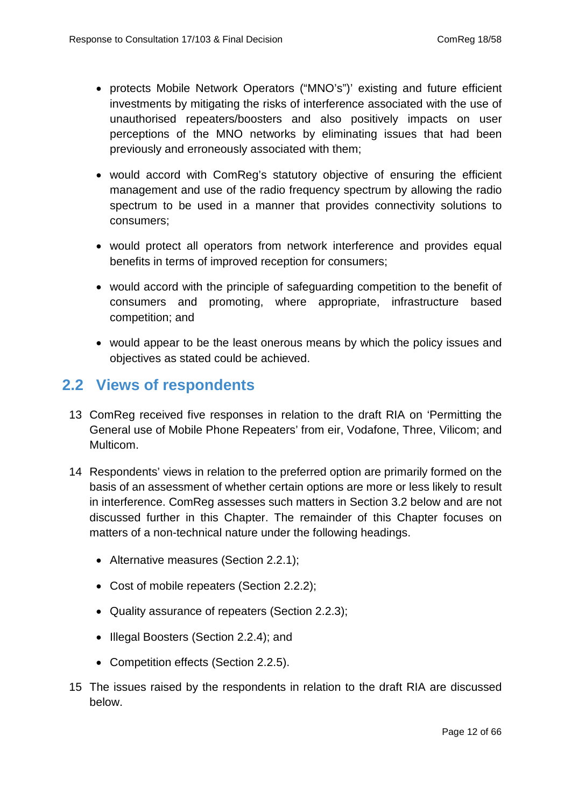- protects Mobile Network Operators ("MNO's")' existing and future efficient investments by mitigating the risks of interference associated with the use of unauthorised repeaters/boosters and also positively impacts on user perceptions of the MNO networks by eliminating issues that had been previously and erroneously associated with them;
- would accord with ComReg's statutory objective of ensuring the efficient management and use of the radio frequency spectrum by allowing the radio spectrum to be used in a manner that provides connectivity solutions to consumers;
- would protect all operators from network interference and provides equal benefits in terms of improved reception for consumers;
- would accord with the principle of safeguarding competition to the benefit of consumers and promoting, where appropriate, infrastructure based competition; and
- <span id="page-11-0"></span>• would appear to be the least onerous means by which the policy issues and objectives as stated could be achieved.

## **2.2 Views of respondents**

- 13 ComReg received five responses in relation to the draft RIA on 'Permitting the General use of Mobile Phone Repeaters' from eir, Vodafone, Three, Vilicom; and Multicom.
- 14 Respondents' views in relation to the preferred option are primarily formed on the basis of an assessment of whether certain options are more or less likely to result in interference. ComReg assesses such matters in Section 3.2 below and are not discussed further in this Chapter. The remainder of this Chapter focuses on matters of a non-technical nature under the following headings.
	- Alternative measures (Section 2.2.1);
	- Cost of mobile repeaters (Section 2.2.2);
	- Quality assurance of repeaters (Section 2.2.3);
	- Illegal Boosters (Section 2.2.4); and
	- Competition effects (Section 2.2.5).
- 15 The issues raised by the respondents in relation to the draft RIA are discussed below.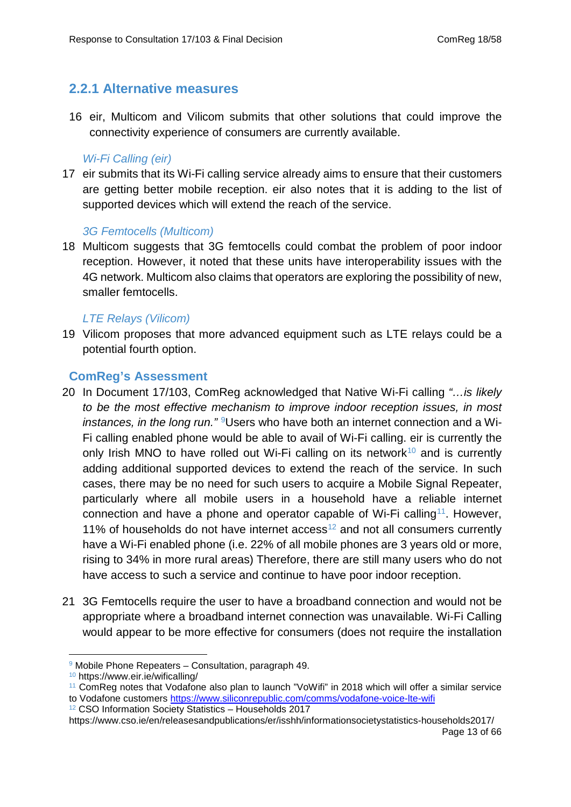## <span id="page-12-0"></span>**2.2.1 Alternative measures**

16 eir, Multicom and Vilicom submits that other solutions that could improve the connectivity experience of consumers are currently available.

#### *Wi-Fi Calling (eir)*

17 eir submits that its Wi-Fi calling service already aims to ensure that their customers are getting better mobile reception. eir also notes that it is adding to the list of supported devices which will extend the reach of the service.

#### *3G Femtocells (Multicom)*

18 Multicom suggests that 3G femtocells could combat the problem of poor indoor reception. However, it noted that these units have interoperability issues with the 4G network. Multicom also claims that operators are exploring the possibility of new, smaller femtocells.

#### *LTE Relays (Vilicom)*

19 Vilicom proposes that more advanced equipment such as LTE relays could be a potential fourth option.

#### **ComReg's Assessment**

- 20 In Document 17/103, ComReg acknowledged that Native Wi-Fi calling *"…is likely to be the most effective mechanism to improve indoor reception issues, in most instances, in the long run.*"<sup>9</sup>Users who have both an internet connection and a Wi-Fi calling enabled phone would be able to avail of Wi-Fi calling. eir is currently the only Irish MNO to have rolled out Wi-Fi calling on its network<sup>[10](#page-12-2)</sup> and is currently adding additional supported devices to extend the reach of the service. In such cases, there may be no need for such users to acquire a Mobile Signal Repeater, particularly where all mobile users in a household have a reliable internet connection and have a phone and operator capable of Wi-Fi calling<sup>11</sup>. However, 11% of households do not have internet access<sup>[12](#page-12-4)</sup> and not all consumers currently have a Wi-Fi enabled phone (i.e. 22% of all mobile phones are 3 years old or more, rising to 34% in more rural areas) Therefore, there are still many users who do not have access to such a service and continue to have poor indoor reception.
- 21 3G Femtocells require the user to have a broadband connection and would not be appropriate where a broadband internet connection was unavailable. Wi-Fi Calling would appear to be more effective for consumers (does not require the installation

<sup>9</sup> Mobile Phone Repeaters – Consultation, paragraph 49. -

<span id="page-12-2"></span><span id="page-12-1"></span><sup>10</sup> https://www.eir.ie/wificalling/

<span id="page-12-3"></span><sup>11</sup> ComReg notes that Vodafone also plan to launch "VoWifi" in 2018 which will offer a similar service to Vodafone customers<https://www.siliconrepublic.com/comms/vodafone-voice-lte-wifi>

<span id="page-12-4"></span><sup>12</sup> CSO Information Society Statistics – Households 2017

https://www.cso.ie/en/releasesandpublications/er/isshh/informationsocietystatistics-households2017/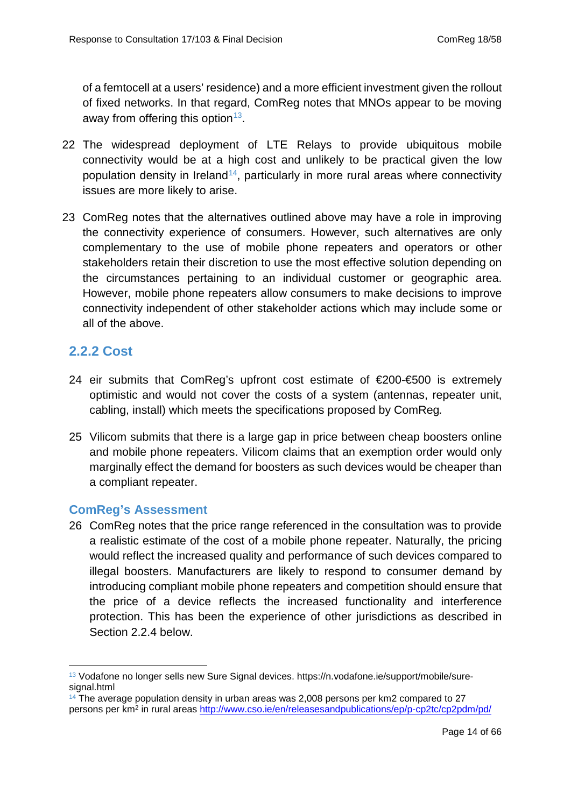of a femtocell at a users' residence) and a more efficient investment given the rollout of fixed networks. In that regard, ComReg notes that MNOs appear to be moving away from offering this option  $13$ .

- 22 The widespread deployment of LTE Relays to provide ubiquitous mobile connectivity would be at a high cost and unlikely to be practical given the low population density in Ireland<sup>14</sup>, particularly in more rural areas where connectivity issues are more likely to arise.
- 23 ComReg notes that the alternatives outlined above may have a role in improving the connectivity experience of consumers. However, such alternatives are only complementary to the use of mobile phone repeaters and operators or other stakeholders retain their discretion to use the most effective solution depending on the circumstances pertaining to an individual customer or geographic area. However, mobile phone repeaters allow consumers to make decisions to improve connectivity independent of other stakeholder actions which may include some or all of the above.

## <span id="page-13-0"></span>**2.2.2 Cost**

- 24 eir submits that ComReg's upfront cost estimate of €200-€500 is extremely optimistic and would not cover the costs of a system (antennas, repeater unit, cabling, install) which meets the specifications proposed by ComReg*.*
- 25 Vilicom submits that there is a large gap in price between cheap boosters online and mobile phone repeaters. Vilicom claims that an exemption order would only marginally effect the demand for boosters as such devices would be cheaper than a compliant repeater.

## **ComReg's Assessment**

26 ComReg notes that the price range referenced in the consultation was to provide a realistic estimate of the cost of a mobile phone repeater. Naturally, the pricing would reflect the increased quality and performance of such devices compared to illegal boosters. Manufacturers are likely to respond to consumer demand by introducing compliant mobile phone repeaters and competition should ensure that the price of a device reflects the increased functionality and interference protection. This has been the experience of other jurisdictions as described in Section 2.2.4 below.

<span id="page-13-1"></span><sup>&</sup>lt;sup>13</sup> Vodafone no longer sells new Sure Signal devices. https://n.vodafone.ie/support/mobile/suresignal.html -

<span id="page-13-2"></span> $14$  The average population density in urban areas was 2,008 persons per km2 compared to 27 persons per km2 in rural areas<http://www.cso.ie/en/releasesandpublications/ep/p-cp2tc/cp2pdm/pd/>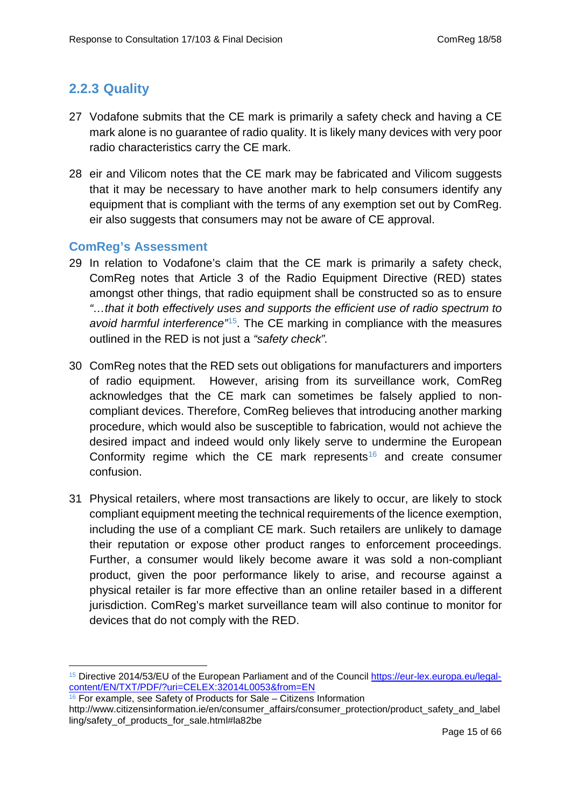## <span id="page-14-0"></span>**2.2.3 Quality**

- 27 Vodafone submits that the CE mark is primarily a safety check and having a CE mark alone is no guarantee of radio quality. It is likely many devices with very poor radio characteristics carry the CE mark.
- 28 eir and Vilicom notes that the CE mark may be fabricated and Vilicom suggests that it may be necessary to have another mark to help consumers identify any equipment that is compliant with the terms of any exemption set out by ComReg. eir also suggests that consumers may not be aware of CE approval.

#### **ComReg's Assessment**

-

- 29 In relation to Vodafone's claim that the CE mark is primarily a safety check, ComReg notes that Article 3 of the Radio Equipment Directive (RED) states amongst other things, that radio equipment shall be constructed so as to ensure *"…that it both effectively uses and supports the efficient use of radio spectrum to avoid harmful interference"*[15.](#page-14-1) The CE marking in compliance with the measures outlined in the RED is not just a *"safety check".*
- 30 ComReg notes that the RED sets out obligations for manufacturers and importers of radio equipment. However, arising from its surveillance work, ComReg acknowledges that the CE mark can sometimes be falsely applied to noncompliant devices. Therefore, ComReg believes that introducing another marking procedure, which would also be susceptible to fabrication, would not achieve the desired impact and indeed would only likely serve to undermine the European Conformity regime which the CE mark represents<sup>[16](#page-14-2)</sup> and create consumer confusion.
- 31 Physical retailers, where most transactions are likely to occur, are likely to stock compliant equipment meeting the technical requirements of the licence exemption, including the use of a compliant CE mark. Such retailers are unlikely to damage their reputation or expose other product ranges to enforcement proceedings. Further, a consumer would likely become aware it was sold a non-compliant product, given the poor performance likely to arise, and recourse against a physical retailer is far more effective than an online retailer based in a different jurisdiction. ComReg's market surveillance team will also continue to monitor for devices that do not comply with the RED.

<span id="page-14-1"></span><sup>15</sup> Directive 2014/53/EU of the European Parliament and of the Council [https://eur-lex.europa.eu/legal](https://eur-lex.europa.eu/legal-content/EN/TXT/PDF/?uri=CELEX:32014L0053&from=EN)[content/EN/TXT/PDF/?uri=CELEX:32014L0053&from=EN](https://eur-lex.europa.eu/legal-content/EN/TXT/PDF/?uri=CELEX:32014L0053&from=EN)

<span id="page-14-2"></span> $16$  For example, see Safety of Products for Sale – Citizens Information

http://www.citizensinformation.ie/en/consumer\_affairs/consumer\_protection/product\_safety\_and\_label ling/safety\_of\_products\_for\_sale.html#la82be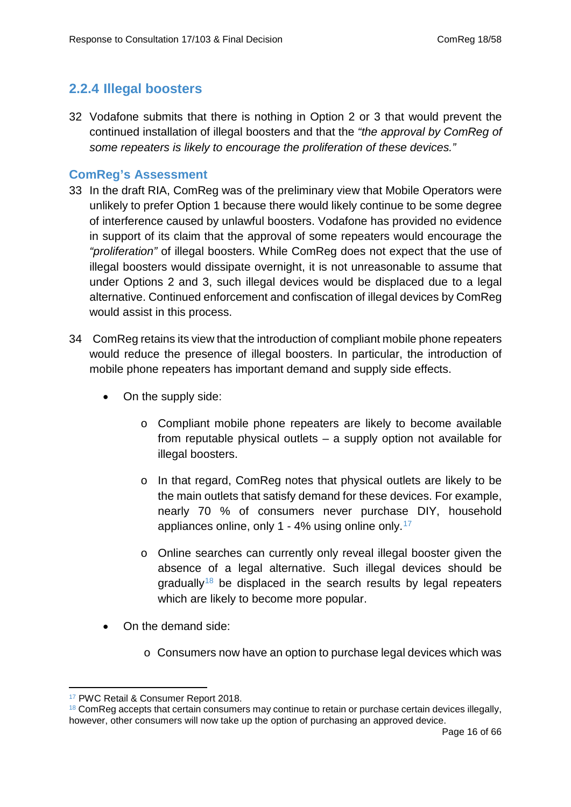## <span id="page-15-0"></span>**2.2.4 Illegal boosters**

32 Vodafone submits that there is nothing in Option 2 or 3 that would prevent the continued installation of illegal boosters and that the *"the approval by ComReg of some repeaters is likely to encourage the proliferation of these devices."*

#### **ComReg's Assessment**

- 33 In the draft RIA, ComReg was of the preliminary view that Mobile Operators were unlikely to prefer Option 1 because there would likely continue to be some degree of interference caused by unlawful boosters. Vodafone has provided no evidence in support of its claim that the approval of some repeaters would encourage the *"proliferation"* of illegal boosters. While ComReg does not expect that the use of illegal boosters would dissipate overnight, it is not unreasonable to assume that under Options 2 and 3, such illegal devices would be displaced due to a legal alternative. Continued enforcement and confiscation of illegal devices by ComReg would assist in this process.
- 34 ComReg retains its view that the introduction of compliant mobile phone repeaters would reduce the presence of illegal boosters. In particular, the introduction of mobile phone repeaters has important demand and supply side effects.
	- On the supply side:
		- o Compliant mobile phone repeaters are likely to become available from reputable physical outlets – a supply option not available for illegal boosters.
		- o In that regard, ComReg notes that physical outlets are likely to be the main outlets that satisfy demand for these devices. For example, nearly 70 % of consumers never purchase DIY, household appliances online, only 1 - 4% using online only.<sup>[17](#page-15-1)</sup>
		- o Online searches can currently only reveal illegal booster given the absence of a legal alternative. Such illegal devices should be  $q$  aradually<sup>[18](#page-15-2)</sup> be displaced in the search results by legal repeaters which are likely to become more popular.
	- On the demand side:
		- o Consumers now have an option to purchase legal devices which was

<sup>&</sup>lt;sup>17</sup> PWC Retail & Consumer Report 2018. <u>.</u>

<span id="page-15-2"></span><span id="page-15-1"></span> $18$  ComReg accepts that certain consumers may continue to retain or purchase certain devices illegally, however, other consumers will now take up the option of purchasing an approved device.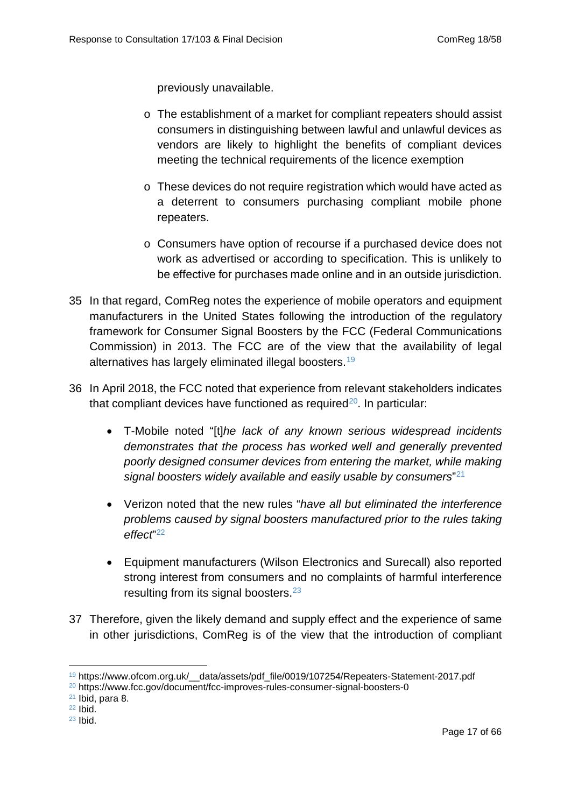previously unavailable.

- o The establishment of a market for compliant repeaters should assist consumers in distinguishing between lawful and unlawful devices as vendors are likely to highlight the benefits of compliant devices meeting the technical requirements of the licence exemption
- o These devices do not require registration which would have acted as a deterrent to consumers purchasing compliant mobile phone repeaters.
- o Consumers have option of recourse if a purchased device does not work as advertised or according to specification. This is unlikely to be effective for purchases made online and in an outside jurisdiction.
- 35 In that regard, ComReg notes the experience of mobile operators and equipment manufacturers in the United States following the introduction of the regulatory framework for Consumer Signal Boosters by the FCC (Federal Communications Commission) in 2013. The FCC are of the view that the availability of legal alternatives has largely eliminated illegal boosters. [19](#page-16-0)
- 36 In April 2018, the FCC noted that experience from relevant stakeholders indicates that compliant devices have functioned as required<sup>20</sup>. In particular:
	- T-Mobile noted "[t]*he lack of any known serious widespread incidents demonstrates that the process has worked well and generally prevented poorly designed consumer devices from entering the market, while making signal boosters widely available and easily usable by consumers*"[21](#page-16-2)
	- Verizon noted that the new rules "*have all but eliminated the interference problems caused by signal boosters manufactured prior to the rules taking effect*"[22](#page-16-3)
	- Equipment manufacturers (Wilson Electronics and Surecall) also reported strong interest from consumers and no complaints of harmful interference resulting from its signal boosters.<sup>[23](#page-16-4)</sup>
- 37 Therefore, given the likely demand and supply effect and the experience of same in other jurisdictions, ComReg is of the view that the introduction of compliant

<sup>&</sup>lt;sup>19</sup> https://www.ofcom.org.uk/ data/assets/pdf file/0019/107254/Repeaters-Statement-2017.pdf -

<span id="page-16-1"></span><span id="page-16-0"></span><sup>20</sup> https://www.fcc.gov/document/fcc-improves-rules-consumer-signal-boosters-0

<span id="page-16-2"></span> $21$  Ibid, para 8.

<span id="page-16-3"></span><sup>22</sup> Ibid.

<span id="page-16-4"></span> $23$  Ibid.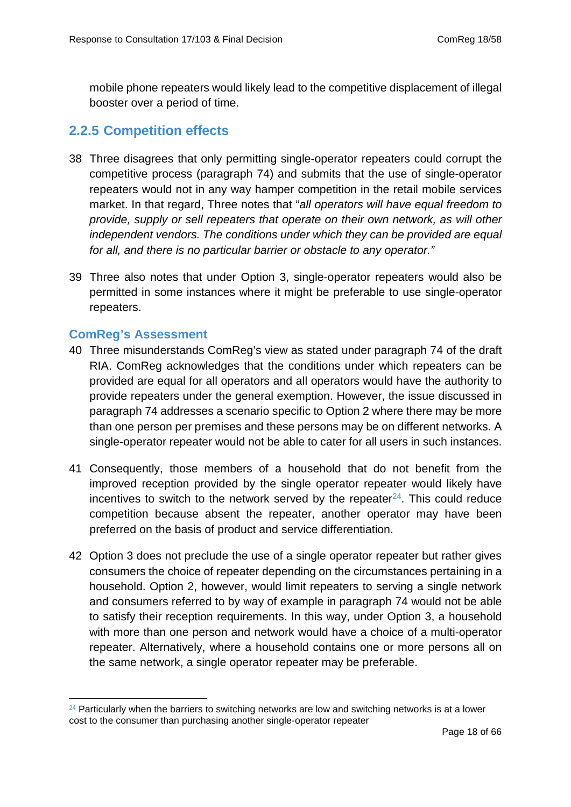<span id="page-17-0"></span>mobile phone repeaters would likely lead to the competitive displacement of illegal booster over a period of time.

## **2.2.5 Competition effects**

- 38 Three disagrees that only permitting single-operator repeaters could corrupt the competitive process (paragraph 74) and submits that the use of single-operator repeaters would not in any way hamper competition in the retail mobile services market. In that regard, Three notes that "*all operators will have equal freedom to provide, supply or sell repeaters that operate on their own network, as will other independent vendors. The conditions under which they can be provided are equal for all, and there is no particular barrier or obstacle to any operator."*
- 39 Three also notes that under Option 3, single-operator repeaters would also be permitted in some instances where it might be preferable to use single-operator repeaters.

#### **ComReg's Assessment**

- 40 Three misunderstands ComReg's view as stated under paragraph 74 of the draft RIA. ComReg acknowledges that the conditions under which repeaters can be provided are equal for all operators and all operators would have the authority to provide repeaters under the general exemption. However, the issue discussed in paragraph 74 addresses a scenario specific to Option 2 where there may be more than one person per premises and these persons may be on different networks. A single-operator repeater would not be able to cater for all users in such instances.
- 41 Consequently, those members of a household that do not benefit from the improved reception provided by the single operator repeater would likely have incentives to switch to the network served by the repeater $^{24}$  $^{24}$  $^{24}$ . This could reduce competition because absent the repeater, another operator may have been preferred on the basis of product and service differentiation.
- 42 Option 3 does not preclude the use of a single operator repeater but rather gives consumers the choice of repeater depending on the circumstances pertaining in a household. Option 2, however, would limit repeaters to serving a single network and consumers referred to by way of example in paragraph 74 would not be able to satisfy their reception requirements. In this way, under Option 3, a household with more than one person and network would have a choice of a multi-operator repeater. Alternatively, where a household contains one or more persons all on the same network, a single operator repeater may be preferable.

<span id="page-17-1"></span> $24$  Particularly when the barriers to switching networks are low and switching networks is at a lower cost to the consumer than purchasing another single-operator repeater -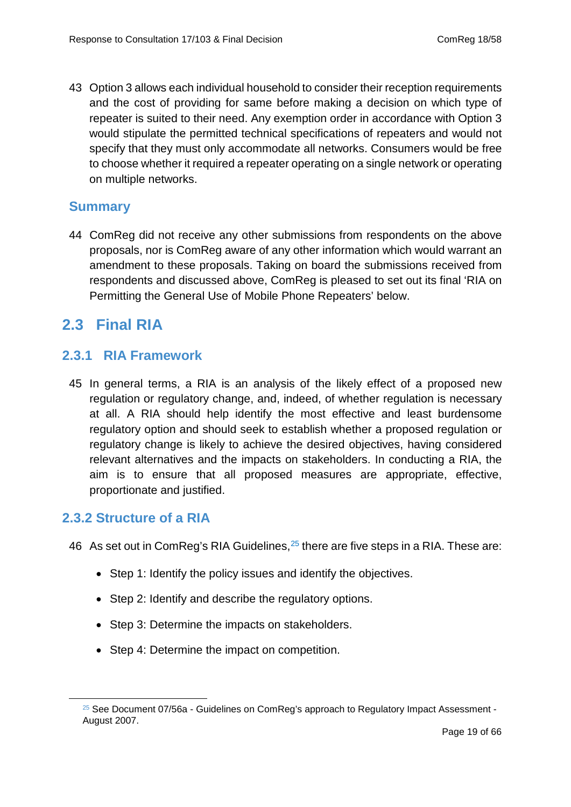43 Option 3 allows each individual household to consider their reception requirements and the cost of providing for same before making a decision on which type of repeater is suited to their need. Any exemption order in accordance with Option 3 would stipulate the permitted technical specifications of repeaters and would not specify that they must only accommodate all networks. Consumers would be free to choose whether it required a repeater operating on a single network or operating on multiple networks.

## <span id="page-18-0"></span>**Summary**

<span id="page-18-1"></span>44 ComReg did not receive any other submissions from respondents on the above proposals, nor is ComReg aware of any other information which would warrant an amendment to these proposals. Taking on board the submissions received from respondents and discussed above, ComReg is pleased to set out its final 'RIA on Permitting the General Use of Mobile Phone Repeaters' below.

## <span id="page-18-2"></span>**2.3 Final RIA**

#### **2.3.1 RIA Framework**

45 In general terms, a RIA is an analysis of the likely effect of a proposed new regulation or regulatory change, and, indeed, of whether regulation is necessary at all. A RIA should help identify the most effective and least burdensome regulatory option and should seek to establish whether a proposed regulation or regulatory change is likely to achieve the desired objectives, having considered relevant alternatives and the impacts on stakeholders. In conducting a RIA, the aim is to ensure that all proposed measures are appropriate, effective, proportionate and justified.

## <span id="page-18-3"></span>**2.3.2 Structure of a RIA**

<span id="page-18-4"></span>-

46 As set out in ComReg's RIA Guidelines.<sup>[25](#page-18-4)</sup> there are five steps in a RIA. These are:

- Step 1: Identify the policy issues and identify the objectives.
- Step 2: Identify and describe the regulatory options.
- Step 3: Determine the impacts on stakeholders.
- Step 4: Determine the impact on competition.

<sup>&</sup>lt;sup>25</sup> See Document 07/56a - Guidelines on ComReg's approach to Regulatory Impact Assessment -August 2007.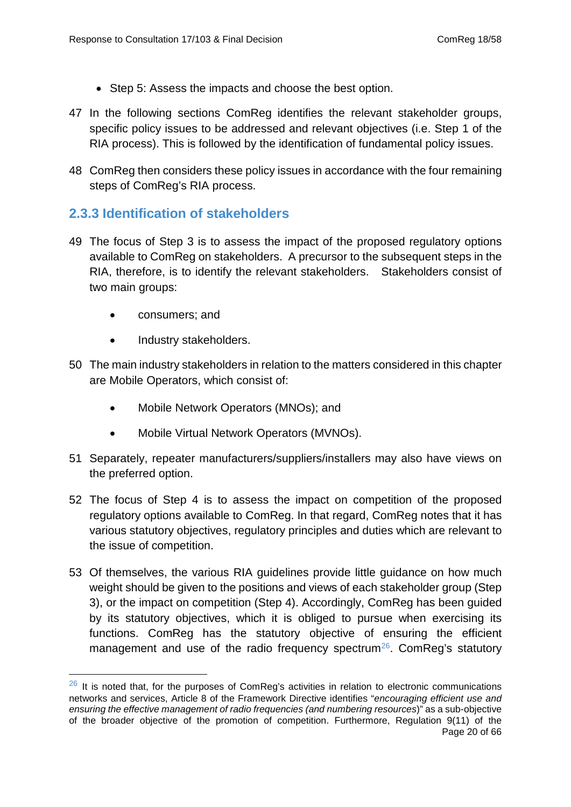- Step 5: Assess the impacts and choose the best option.
- 47 In the following sections ComReg identifies the relevant stakeholder groups, specific policy issues to be addressed and relevant objectives (i.e. Step 1 of the RIA process). This is followed by the identification of fundamental policy issues.
- <span id="page-19-0"></span>48 ComReg then considers these policy issues in accordance with the four remaining steps of ComReg's RIA process.

## **2.3.3 Identification of stakeholders**

- 49 The focus of Step 3 is to assess the impact of the proposed regulatory options available to ComReg on stakeholders. A precursor to the subsequent steps in the RIA, therefore, is to identify the relevant stakeholders. Stakeholders consist of two main groups:
	- consumers; and

-

- Industry stakeholders.
- 50 The main industry stakeholders in relation to the matters considered in this chapter are Mobile Operators, which consist of:
	- Mobile Network Operators (MNOs); and
	- Mobile Virtual Network Operators (MVNOs).
- 51 Separately, repeater manufacturers/suppliers/installers may also have views on the preferred option.
- 52 The focus of Step 4 is to assess the impact on competition of the proposed regulatory options available to ComReg. In that regard, ComReg notes that it has various statutory objectives, regulatory principles and duties which are relevant to the issue of competition.
- 53 Of themselves, the various RIA guidelines provide little guidance on how much weight should be given to the positions and views of each stakeholder group (Step 3), or the impact on competition (Step 4). Accordingly, ComReg has been guided by its statutory objectives, which it is obliged to pursue when exercising its functions. ComReg has the statutory objective of ensuring the efficient management and use of the radio frequency spectrum<sup>26</sup>. ComReg's statutory

<span id="page-19-1"></span> $26$  It is noted that, for the purposes of ComReg's activities in relation to electronic communications networks and services, Article 8 of the Framework Directive identifies "*encouraging efficient use and ensuring the effective management of radio frequencies (and numbering resources*)" as a sub-objective of the broader objective of the promotion of competition. Furthermore, Regulation 9(11) of the Page 20 of 66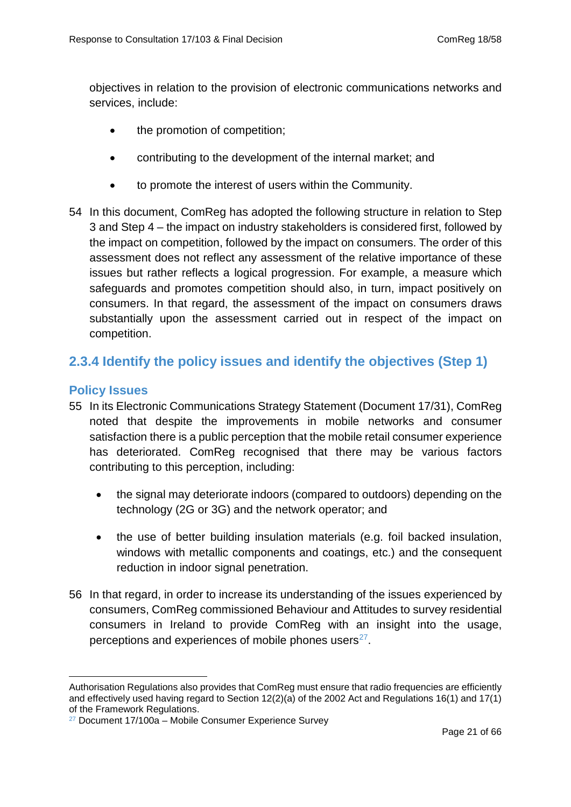objectives in relation to the provision of electronic communications networks and services, include:

- the promotion of competition;
- contributing to the development of the internal market; and
- to promote the interest of users within the Community.
- 54 In this document, ComReg has adopted the following structure in relation to Step 3 and Step 4 – the impact on industry stakeholders is considered first, followed by the impact on competition, followed by the impact on consumers. The order of this assessment does not reflect any assessment of the relative importance of these issues but rather reflects a logical progression. For example, a measure which safeguards and promotes competition should also, in turn, impact positively on consumers. In that regard, the assessment of the impact on consumers draws substantially upon the assessment carried out in respect of the impact on competition.

## <span id="page-20-0"></span>**2.3.4 Identify the policy issues and identify the objectives (Step 1)**

#### **Policy Issues**

- 55 In its Electronic Communications Strategy Statement (Document 17/31), ComReg noted that despite the improvements in mobile networks and consumer satisfaction there is a public perception that the mobile retail consumer experience has deteriorated. ComReg recognised that there may be various factors contributing to this perception, including:
	- the signal may deteriorate indoors (compared to outdoors) depending on the technology (2G or 3G) and the network operator; and
	- the use of better building insulation materials (e.g. foil backed insulation, windows with metallic components and coatings, etc.) and the consequent reduction in indoor signal penetration.
- 56 In that regard, in order to increase its understanding of the issues experienced by consumers, ComReg commissioned Behaviour and Attitudes to survey residential consumers in Ireland to provide ComReg with an insight into the usage, perceptions and experiences of mobile phones users $27$ .

Authorisation Regulations also provides that ComReg must ensure that radio frequencies are efficiently and effectively used having regard to Section 12(2)(a) of the 2002 Act and Regulations 16(1) and 17(1) of the Framework Regulations. -

<span id="page-20-1"></span> $27$  Document 17/100a – Mobile Consumer Experience Survey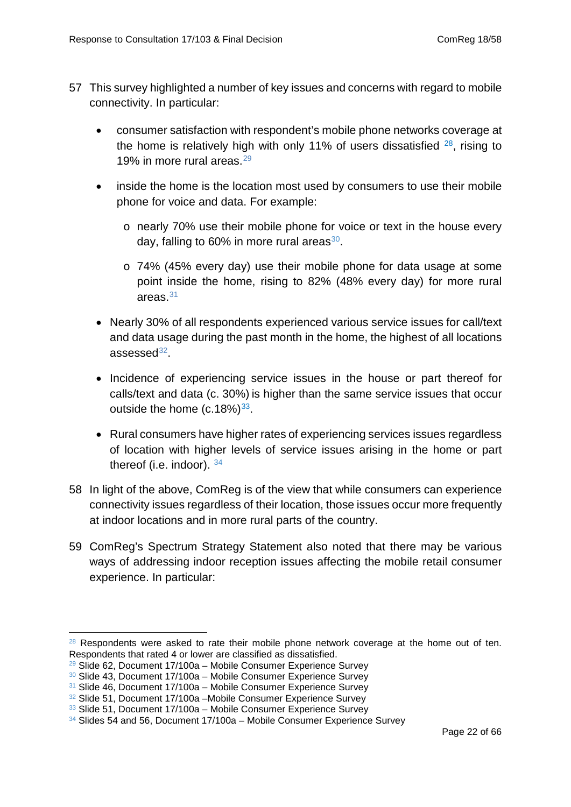- 57 This survey highlighted a number of key issues and concerns with regard to mobile connectivity. In particular:
	- consumer satisfaction with respondent's mobile phone networks coverage at the home is relatively high with only 11% of users dissatisfied  $28$ , rising to 19% in more rural areas.<sup>[29](#page-21-1)</sup>
	- inside the home is the location most used by consumers to use their mobile phone for voice and data. For example:
		- o nearly 70% use their mobile phone for voice or text in the house every day, falling to  $60\%$  in more rural areas $30$ .
		- o 74% (45% every day) use their mobile phone for data usage at some point inside the home, rising to 82% (48% every day) for more rural areas.[31](#page-21-3)
	- Nearly 30% of all respondents experienced various service issues for call/text and data usage during the past month in the home, the highest of all locations  $assessed^{32}$ .
	- Incidence of experiencing service issues in the house or part thereof for calls/text and data (c. 30%) is higher than the same service issues that occur outside the home  $(c.18\%)^{33}$ .
	- Rural consumers have higher rates of experiencing services issues regardless of location with higher levels of service issues arising in the home or part thereof (i.e. indoor). [34](#page-21-6)
- 58 In light of the above, ComReg is of the view that while consumers can experience connectivity issues regardless of their location, those issues occur more frequently at indoor locations and in more rural parts of the country.
- 59 ComReg's Spectrum Strategy Statement also noted that there may be various ways of addressing indoor reception issues affecting the mobile retail consumer experience. In particular:

<span id="page-21-0"></span><sup>&</sup>lt;sup>28</sup> Respondents were asked to rate their mobile phone network coverage at the home out of ten. Respondents that rated 4 or lower are classified as dissatisfied. -

<span id="page-21-1"></span> $29$  Slide 62, Document 17/100a – Mobile Consumer Experience Survey

<span id="page-21-2"></span><sup>&</sup>lt;sup>30</sup> Slide 43, Document 17/100a – Mobile Consumer Experience Survey

<span id="page-21-3"></span><sup>&</sup>lt;sup>31</sup> Slide 46, Document 17/100a - Mobile Consumer Experience Survey

<span id="page-21-4"></span><sup>&</sup>lt;sup>32</sup> Slide 51, Document 17/100a – Mobile Consumer Experience Survey

<span id="page-21-5"></span><sup>33</sup> Slide 51, Document 17/100a - Mobile Consumer Experience Survey

<span id="page-21-6"></span> $34$  Slides 54 and 56, Document 17/100a – Mobile Consumer Experience Survey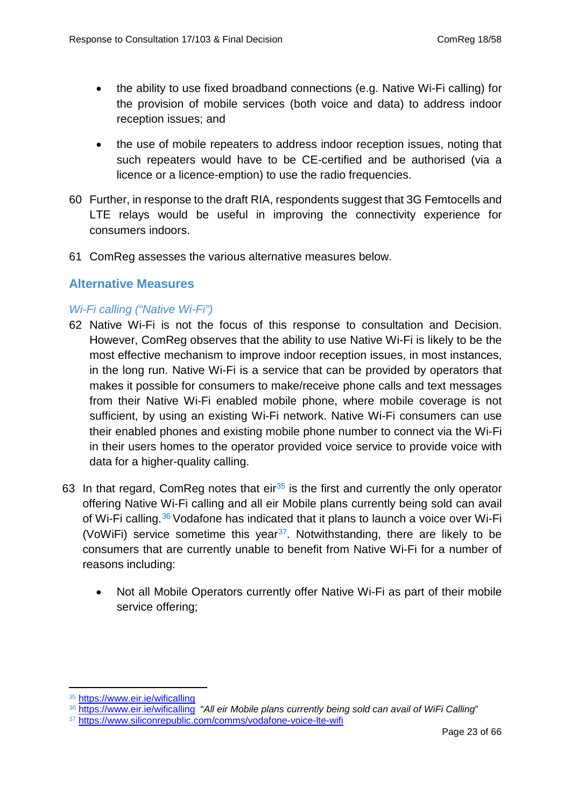- the ability to use fixed broadband connections (e.g. Native Wi-Fi calling) for the provision of mobile services (both voice and data) to address indoor reception issues; and
- the use of mobile repeaters to address indoor reception issues, noting that such repeaters would have to be CE-certified and be authorised (via a licence or a licence-emption) to use the radio frequencies.
- 60 Further, in response to the draft RIA, respondents suggest that 3G Femtocells and LTE relays would be useful in improving the connectivity experience for consumers indoors.
- 61 ComReg assesses the various alternative measures below.

#### **Alternative Measures**

#### *Wi-Fi calling ("Native Wi-Fi")*

- 62 Native Wi-Fi is not the focus of this response to consultation and Decision. However, ComReg observes that the ability to use Native Wi-Fi is likely to be the most effective mechanism to improve indoor reception issues, in most instances, in the long run. Native Wi-Fi is a service that can be provided by operators that makes it possible for consumers to make/receive phone calls and text messages from their Native Wi-Fi enabled mobile phone, where mobile coverage is not sufficient, by using an existing Wi-Fi network. Native Wi-Fi consumers can use their enabled phones and existing mobile phone number to connect via the Wi-Fi in their users homes to the operator provided voice service to provide voice with data for a higher-quality calling.
- 63 In that regard, ComReg notes that  $eir^{35}$  $eir^{35}$  $eir^{35}$  is the first and currently the only operator offering Native Wi-Fi calling and all eir Mobile plans currently being sold can avail of Wi-Fi calling.<sup>[36](#page-22-1)</sup> Vodafone has indicated that it plans to launch a voice over Wi-Fi (VoWiFi) service sometime this year<sup>[37](#page-22-2)</sup>. Notwithstanding, there are likely to be consumers that are currently unable to benefit from Native Wi-Fi for a number of reasons including:
	- Not all Mobile Operators currently offer Native Wi-Fi as part of their mobile service offering;

<sup>35</sup> <https://www.eir.ie/wificalling> <u>.</u>

<span id="page-22-1"></span><span id="page-22-0"></span><sup>36</sup> <https://www.eir.ie/wificalling>"*All eir Mobile plans currently being sold can avail of WiFi Calling*"

<span id="page-22-2"></span><sup>37</sup> <https://www.siliconrepublic.com/comms/vodafone-voice-lte-wifi>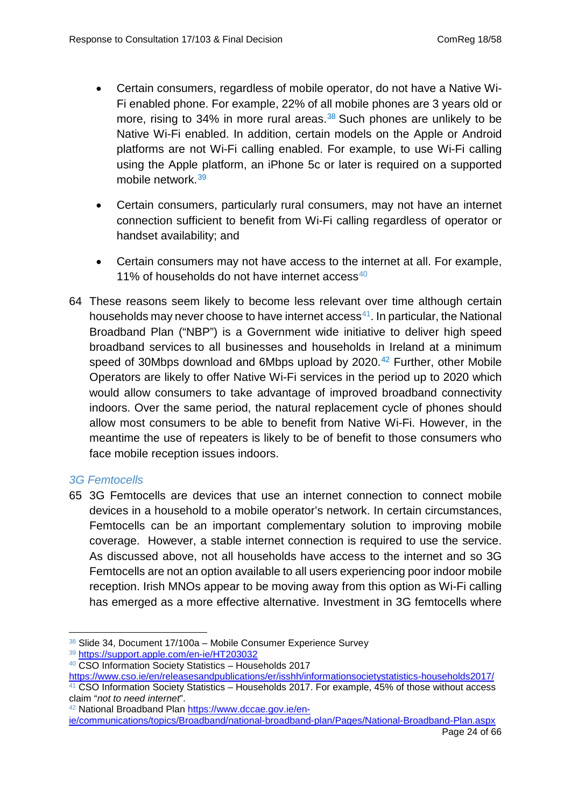- Certain consumers, regardless of mobile operator, do not have a Native Wi-Fi enabled phone. For example, 22% of all mobile phones are 3 years old or more, rising to 34% in more rural areas.<sup>[38](#page-23-0)</sup> Such phones are unlikely to be Native Wi-Fi enabled. In addition, certain models on the Apple or Android platforms are not Wi-Fi calling enabled. For example, to use Wi-Fi calling using the Apple platform, an iPhone 5c or later is required on a supported mobile network.[39](#page-23-1)
- Certain consumers, particularly rural consumers, may not have an internet connection sufficient to benefit from Wi-Fi calling regardless of operator or handset availability; and
- Certain consumers may not have access to the internet at all. For example, 11% of households do not have internet  $\arccos 40$  $\arccos 40$
- 64 These reasons seem likely to become less relevant over time although certain households may never choose to have internet  $access<sup>41</sup>$ . In particular, the National Broadband Plan ("NBP") is a Government wide initiative to deliver high speed broadband services to all businesses and households in Ireland at a minimum speed of 30Mbps download and 6Mbps upload by  $2020<sup>42</sup>$  $2020<sup>42</sup>$  $2020<sup>42</sup>$  Further, other Mobile Operators are likely to offer Native Wi-Fi services in the period up to 2020 which would allow consumers to take advantage of improved broadband connectivity indoors. Over the same period, the natural replacement cycle of phones should allow most consumers to be able to benefit from Native Wi-Fi. However, in the meantime the use of repeaters is likely to be of benefit to those consumers who face mobile reception issues indoors.

#### *3G Femtocells*

65 3G Femtocells are devices that use an internet connection to connect mobile devices in a household to a mobile operator's network. In certain circumstances, Femtocells can be an important complementary solution to improving mobile coverage. However, a stable internet connection is required to use the service. As discussed above, not all households have access to the internet and so 3G Femtocells are not an option available to all users experiencing poor indoor mobile reception. Irish MNOs appear to be moving away from this option as Wi-Fi calling has emerged as a more effective alternative. Investment in 3G femtocells where

<sup>38</sup> Slide 34, Document 17/100a - Mobile Consumer Experience Survey -

<span id="page-23-1"></span><span id="page-23-0"></span><sup>39</sup> <https://support.apple.com/en-ie/HT203032>

<span id="page-23-2"></span><sup>40</sup> CSO Information Society Statistics – Households 2017

<span id="page-23-3"></span><https://www.cso.ie/en/releasesandpublications/er/isshh/informationsocietystatistics-households2017/> <sup>41</sup> CSO Information Society Statistics – Households 2017. For example, 45% of those without access claim "*not to need internet*".

<span id="page-23-4"></span><sup>42</sup> National Broadband Plan [https://www.dccae.gov.ie/en-](https://www.dccae.gov.ie/en-ie/communications/topics/Broadband/national-broadband-plan/Pages/National-Broadband-Plan.aspx)

[ie/communications/topics/Broadband/national-broadband-plan/Pages/National-Broadband-Plan.aspx](https://www.dccae.gov.ie/en-ie/communications/topics/Broadband/national-broadband-plan/Pages/National-Broadband-Plan.aspx)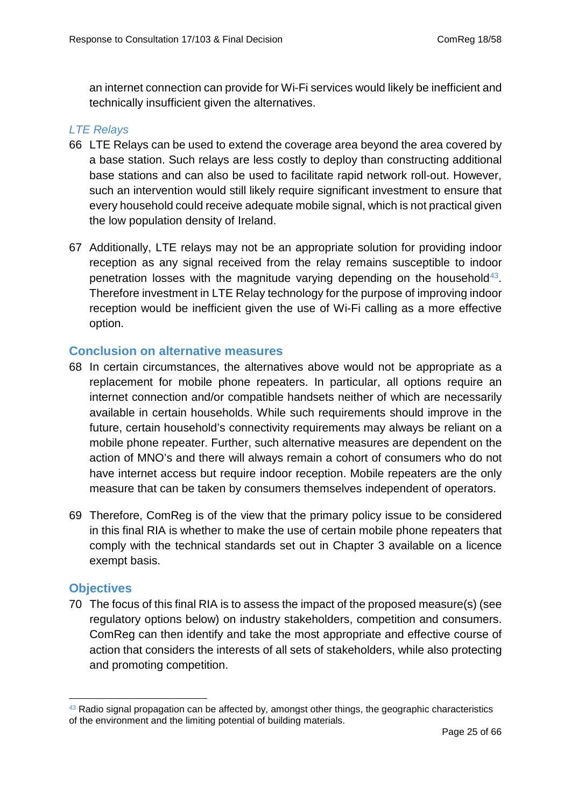an internet connection can provide for Wi-Fi services would likely be inefficient and technically insufficient given the alternatives.

#### *LTE Relays*

- 66 LTE Relays can be used to extend the coverage area beyond the area covered by a base station. Such relays are less costly to deploy than constructing additional base stations and can also be used to facilitate rapid network roll-out. However, such an intervention would still likely require significant investment to ensure that every household could receive adequate mobile signal, which is not practical given the low population density of Ireland.
- 67 Additionally, LTE relays may not be an appropriate solution for providing indoor reception as any signal received from the relay remains susceptible to indoor penetration losses with the magnitude varying depending on the household<sup>43</sup>. Therefore investment in LTE Relay technology for the purpose of improving indoor reception would be inefficient given the use of Wi-Fi calling as a more effective option.

#### **Conclusion on alternative measures**

- 68 In certain circumstances, the alternatives above would not be appropriate as a replacement for mobile phone repeaters. In particular, all options require an internet connection and/or compatible handsets neither of which are necessarily available in certain households. While such requirements should improve in the future, certain household's connectivity requirements may always be reliant on a mobile phone repeater. Further, such alternative measures are dependent on the action of MNO's and there will always remain a cohort of consumers who do not have internet access but require indoor reception. Mobile repeaters are the only measure that can be taken by consumers themselves independent of operators.
- 69 Therefore, ComReg is of the view that the primary policy issue to be considered in this final RIA is whether to make the use of certain mobile phone repeaters that comply with the technical standards set out in Chapter 3 available on a licence exempt basis.

#### **Objectives**

70 The focus of this final RIA is to assess the impact of the proposed measure(s) (see regulatory options below) on industry stakeholders, competition and consumers. ComReg can then identify and take the most appropriate and effective course of action that considers the interests of all sets of stakeholders, while also protecting and promoting competition.

<span id="page-24-0"></span> $43$  Radio signal propagation can be affected by, amongst other things, the geographic characteristics of the environment and the limiting potential of building materials. -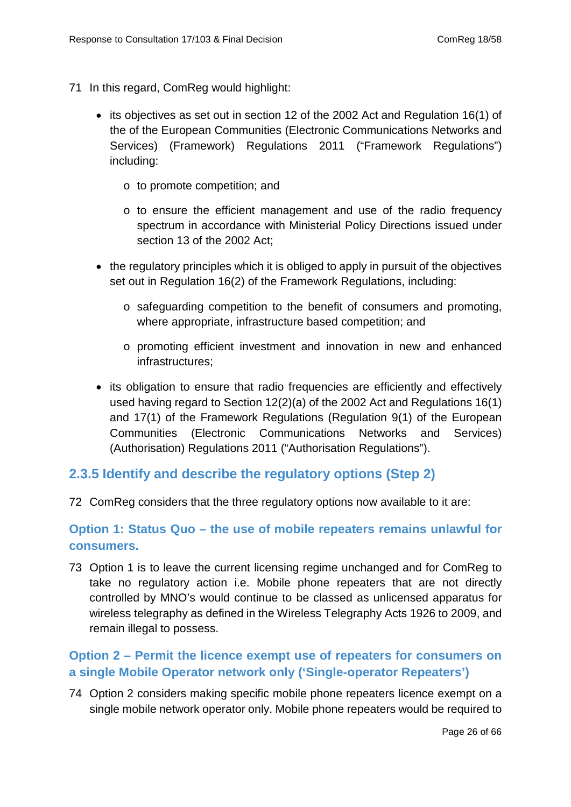- 71 In this regard, ComReg would highlight:
	- its objectives as set out in section 12 of the 2002 Act and Regulation 16(1) of the of the European Communities (Electronic Communications Networks and Services) (Framework) Regulations 2011 ("Framework Regulations") including:
		- o to promote competition; and
		- o to ensure the efficient management and use of the radio frequency spectrum in accordance with Ministerial Policy Directions issued under section 13 of the 2002 Act;
	- the regulatory principles which it is obliged to apply in pursuit of the objectives set out in Regulation 16(2) of the Framework Regulations, including:
		- o safeguarding competition to the benefit of consumers and promoting, where appropriate, infrastructure based competition; and
		- o promoting efficient investment and innovation in new and enhanced infrastructures;
	- its obligation to ensure that radio frequencies are efficiently and effectively used having regard to Section 12(2)(a) of the 2002 Act and Regulations 16(1) and 17(1) of the Framework Regulations (Regulation 9(1) of the European Communities (Electronic Communications Networks and Services) (Authorisation) Regulations 2011 ("Authorisation Regulations").

## <span id="page-25-0"></span>**2.3.5 Identify and describe the regulatory options (Step 2)**

72 ComReg considers that the three regulatory options now available to it are:

#### **Option 1: Status Quo – the use of mobile repeaters remains unlawful for consumers.**

73 Option 1 is to leave the current licensing regime unchanged and for ComReg to take no regulatory action i.e. Mobile phone repeaters that are not directly controlled by MNO's would continue to be classed as unlicensed apparatus for wireless telegraphy as defined in the Wireless Telegraphy Acts 1926 to 2009, and remain illegal to possess.

## **Option 2 – Permit the licence exempt use of repeaters for consumers on a single Mobile Operator network only ('Single-operator Repeaters')**

74 Option 2 considers making specific mobile phone repeaters licence exempt on a single mobile network operator only. Mobile phone repeaters would be required to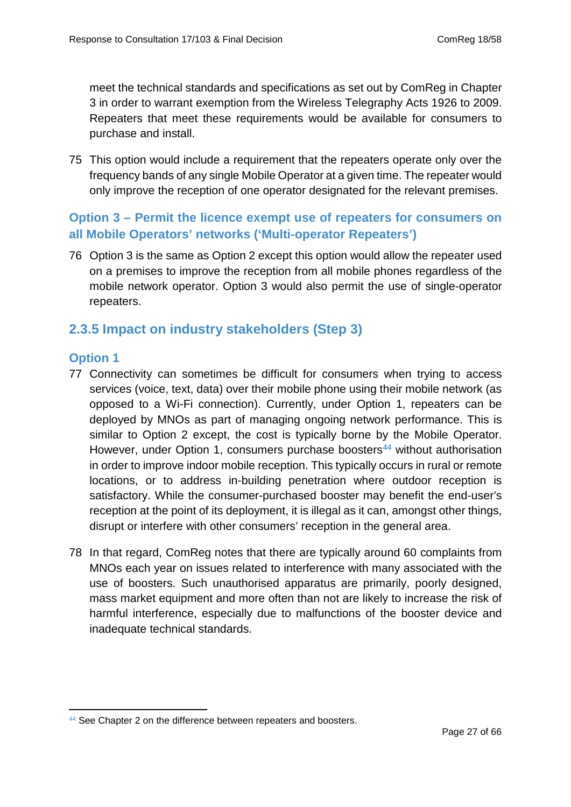meet the technical standards and specifications as set out by ComReg in Chapter 3 in order to warrant exemption from the Wireless Telegraphy Acts 1926 to 2009. Repeaters that meet these requirements would be available for consumers to purchase and install.

75 This option would include a requirement that the repeaters operate only over the frequency bands of any single Mobile Operator at a given time. The repeater would only improve the reception of one operator designated for the relevant premises.

## **Option 3 – Permit the licence exempt use of repeaters for consumers on all Mobile Operators' networks ('Multi-operator Repeaters')**

<span id="page-26-0"></span>76 Option 3 is the same as Option 2 except this option would allow the repeater used on a premises to improve the reception from all mobile phones regardless of the mobile network operator. Option 3 would also permit the use of single-operator repeaters.

## **2.3.5 Impact on industry stakeholders (Step 3)**

#### **Option 1**

- 77 Connectivity can sometimes be difficult for consumers when trying to access services (voice, text, data) over their mobile phone using their mobile network (as opposed to a Wi-Fi connection). Currently, under Option 1, repeaters can be deployed by MNOs as part of managing ongoing network performance. This is similar to Option 2 except, the cost is typically borne by the Mobile Operator. However, under Option 1, consumers purchase boosters<sup>44</sup> without authorisation in order to improve indoor mobile reception. This typically occurs in rural or remote locations, or to address in-building penetration where outdoor reception is satisfactory. While the consumer-purchased booster may benefit the end-user's reception at the point of its deployment, it is illegal as it can, amongst other things, disrupt or interfere with other consumers' reception in the general area.
- 78 In that regard, ComReg notes that there are typically around 60 complaints from MNOs each year on issues related to interference with many associated with the use of boosters. Such unauthorised apparatus are primarily, poorly designed, mass market equipment and more often than not are likely to increase the risk of harmful interference, especially due to malfunctions of the booster device and inadequate technical standards.

<span id="page-26-1"></span><sup>44</sup> See Chapter 2 on the difference between repeaters and boosters. -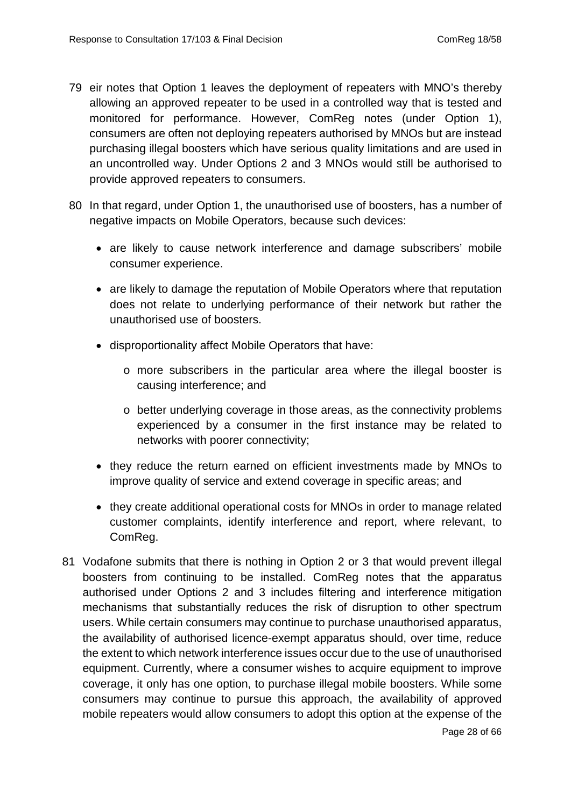- 79 eir notes that Option 1 leaves the deployment of repeaters with MNO's thereby allowing an approved repeater to be used in a controlled way that is tested and monitored for performance. However, ComReg notes (under Option 1), consumers are often not deploying repeaters authorised by MNOs but are instead purchasing illegal boosters which have serious quality limitations and are used in an uncontrolled way. Under Options 2 and 3 MNOs would still be authorised to provide approved repeaters to consumers.
- 80 In that regard, under Option 1, the unauthorised use of boosters, has a number of negative impacts on Mobile Operators, because such devices:
	- are likely to cause network interference and damage subscribers' mobile consumer experience.
	- are likely to damage the reputation of Mobile Operators where that reputation does not relate to underlying performance of their network but rather the unauthorised use of boosters.
	- disproportionality affect Mobile Operators that have:
		- o more subscribers in the particular area where the illegal booster is causing interference; and
		- o better underlying coverage in those areas, as the connectivity problems experienced by a consumer in the first instance may be related to networks with poorer connectivity;
	- they reduce the return earned on efficient investments made by MNOs to improve quality of service and extend coverage in specific areas; and
	- they create additional operational costs for MNOs in order to manage related customer complaints, identify interference and report, where relevant, to ComReg.
- 81 Vodafone submits that there is nothing in Option 2 or 3 that would prevent illegal boosters from continuing to be installed. ComReg notes that the apparatus authorised under Options 2 and 3 includes filtering and interference mitigation mechanisms that substantially reduces the risk of disruption to other spectrum users. While certain consumers may continue to purchase unauthorised apparatus, the availability of authorised licence-exempt apparatus should, over time, reduce the extent to which network interference issues occur due to the use of unauthorised equipment. Currently, where a consumer wishes to acquire equipment to improve coverage, it only has one option, to purchase illegal mobile boosters. While some consumers may continue to pursue this approach, the availability of approved mobile repeaters would allow consumers to adopt this option at the expense of the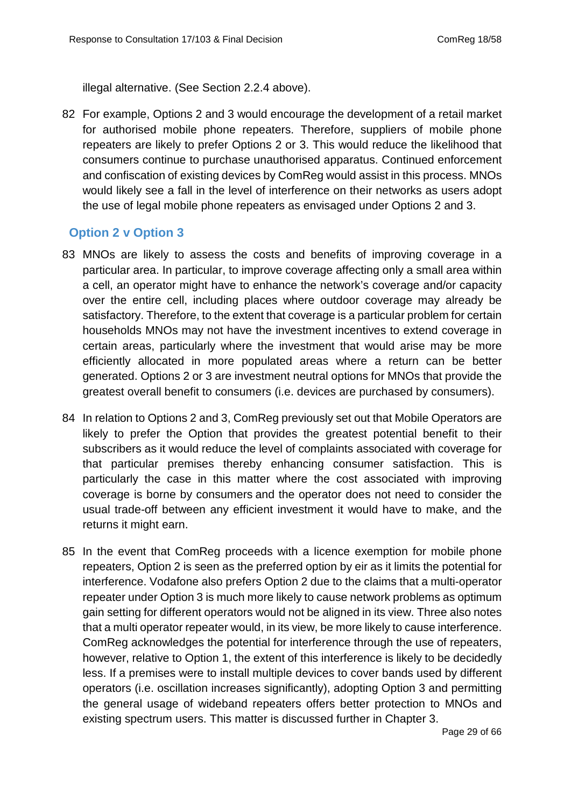illegal alternative. (See Section 2.2.4 above).

82 For example, Options 2 and 3 would encourage the development of a retail market for authorised mobile phone repeaters. Therefore, suppliers of mobile phone repeaters are likely to prefer Options 2 or 3. This would reduce the likelihood that consumers continue to purchase unauthorised apparatus. Continued enforcement and confiscation of existing devices by ComReg would assist in this process. MNOs would likely see a fall in the level of interference on their networks as users adopt the use of legal mobile phone repeaters as envisaged under Options 2 and 3.

#### **Option 2 v Option 3**

- 83 MNOs are likely to assess the costs and benefits of improving coverage in a particular area. In particular, to improve coverage affecting only a small area within a cell, an operator might have to enhance the network's coverage and/or capacity over the entire cell, including places where outdoor coverage may already be satisfactory. Therefore, to the extent that coverage is a particular problem for certain households MNOs may not have the investment incentives to extend coverage in certain areas, particularly where the investment that would arise may be more efficiently allocated in more populated areas where a return can be better generated. Options 2 or 3 are investment neutral options for MNOs that provide the greatest overall benefit to consumers (i.e. devices are purchased by consumers).
- 84 In relation to Options 2 and 3, ComReg previously set out that Mobile Operators are likely to prefer the Option that provides the greatest potential benefit to their subscribers as it would reduce the level of complaints associated with coverage for that particular premises thereby enhancing consumer satisfaction. This is particularly the case in this matter where the cost associated with improving coverage is borne by consumers and the operator does not need to consider the usual trade-off between any efficient investment it would have to make, and the returns it might earn.
- 85 In the event that ComReg proceeds with a licence exemption for mobile phone repeaters, Option 2 is seen as the preferred option by eir as it limits the potential for interference. Vodafone also prefers Option 2 due to the claims that a multi-operator repeater under Option 3 is much more likely to cause network problems as optimum gain setting for different operators would not be aligned in its view. Three also notes that a multi operator repeater would, in its view, be more likely to cause interference. ComReg acknowledges the potential for interference through the use of repeaters, however, relative to Option 1, the extent of this interference is likely to be decidedly less. If a premises were to install multiple devices to cover bands used by different operators (i.e. oscillation increases significantly), adopting Option 3 and permitting the general usage of wideband repeaters offers better protection to MNOs and existing spectrum users. This matter is discussed further in Chapter 3.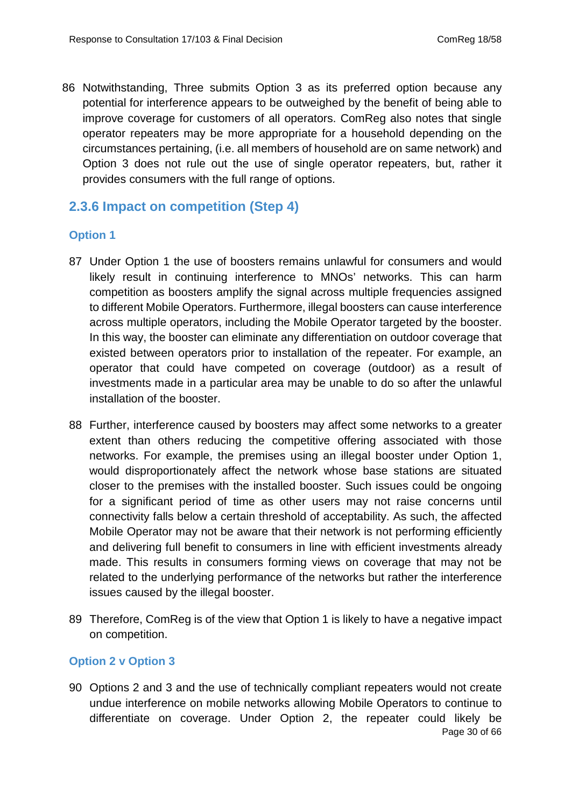86 Notwithstanding, Three submits Option 3 as its preferred option because any potential for interference appears to be outweighed by the benefit of being able to improve coverage for customers of all operators. ComReg also notes that single operator repeaters may be more appropriate for a household depending on the circumstances pertaining, (i.e. all members of household are on same network) and Option 3 does not rule out the use of single operator repeaters, but, rather it provides consumers with the full range of options.

## <span id="page-29-0"></span>**2.3.6 Impact on competition (Step 4)**

#### **Option 1**

- 87 Under Option 1 the use of boosters remains unlawful for consumers and would likely result in continuing interference to MNOs' networks. This can harm competition as boosters amplify the signal across multiple frequencies assigned to different Mobile Operators. Furthermore, illegal boosters can cause interference across multiple operators, including the Mobile Operator targeted by the booster. In this way, the booster can eliminate any differentiation on outdoor coverage that existed between operators prior to installation of the repeater. For example, an operator that could have competed on coverage (outdoor) as a result of investments made in a particular area may be unable to do so after the unlawful installation of the booster.
- 88 Further, interference caused by boosters may affect some networks to a greater extent than others reducing the competitive offering associated with those networks. For example, the premises using an illegal booster under Option 1, would disproportionately affect the network whose base stations are situated closer to the premises with the installed booster. Such issues could be ongoing for a significant period of time as other users may not raise concerns until connectivity falls below a certain threshold of acceptability. As such, the affected Mobile Operator may not be aware that their network is not performing efficiently and delivering full benefit to consumers in line with efficient investments already made. This results in consumers forming views on coverage that may not be related to the underlying performance of the networks but rather the interference issues caused by the illegal booster.
- 89 Therefore, ComReg is of the view that Option 1 is likely to have a negative impact on competition.

#### **Option 2 v Option 3**

90 Options 2 and 3 and the use of technically compliant repeaters would not create undue interference on mobile networks allowing Mobile Operators to continue to differentiate on coverage. Under Option 2, the repeater could likely be Page 30 of 66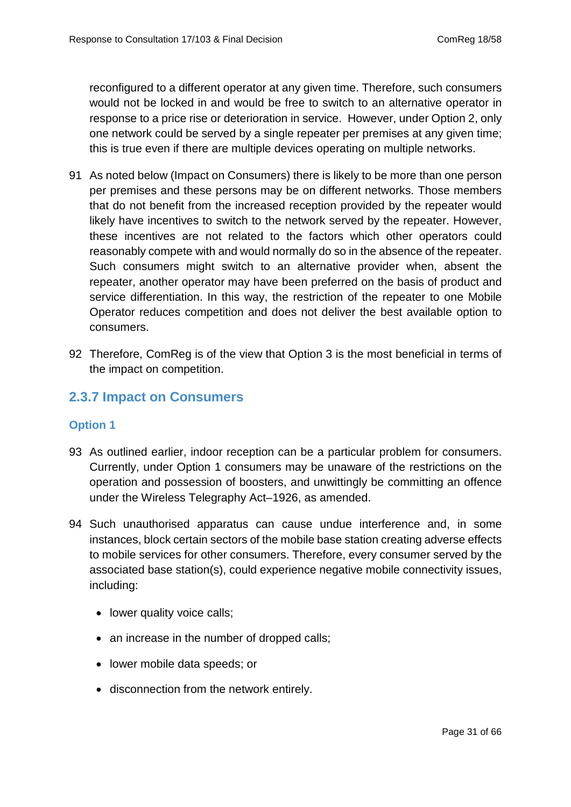reconfigured to a different operator at any given time. Therefore, such consumers would not be locked in and would be free to switch to an alternative operator in response to a price rise or deterioration in service. However, under Option 2, only one network could be served by a single repeater per premises at any given time; this is true even if there are multiple devices operating on multiple networks.

- 91 As noted below (Impact on Consumers) there is likely to be more than one person per premises and these persons may be on different networks. Those members that do not benefit from the increased reception provided by the repeater would likely have incentives to switch to the network served by the repeater. However, these incentives are not related to the factors which other operators could reasonably compete with and would normally do so in the absence of the repeater. Such consumers might switch to an alternative provider when, absent the repeater, another operator may have been preferred on the basis of product and service differentiation. In this way, the restriction of the repeater to one Mobile Operator reduces competition and does not deliver the best available option to consumers.
- 92 Therefore, ComReg is of the view that Option 3 is the most beneficial in terms of the impact on competition.

## **2.3.7 Impact on Consumers**

#### **Option 1**

- 93 As outlined earlier, indoor reception can be a particular problem for consumers. Currently, under Option 1 consumers may be unaware of the restrictions on the operation and possession of boosters, and unwittingly be committing an offence under the Wireless Telegraphy Act–1926, as amended.
- 94 Such unauthorised apparatus can cause undue interference and, in some instances, block certain sectors of the mobile base station creating adverse effects to mobile services for other consumers. Therefore, every consumer served by the associated base station(s), could experience negative mobile connectivity issues, including:
	- lower quality voice calls;
	- an increase in the number of dropped calls;
	- lower mobile data speeds; or
	- disconnection from the network entirely.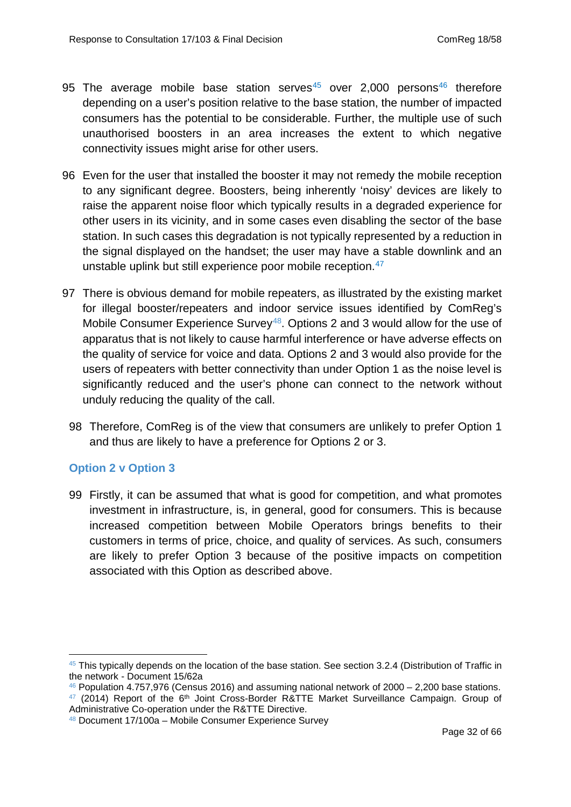- 95 The average mobile base station serves<sup>[45](#page-31-0)</sup> over 2,000 persons<sup>[46](#page-31-1)</sup> therefore depending on a user's position relative to the base station, the number of impacted consumers has the potential to be considerable. Further, the multiple use of such unauthorised boosters in an area increases the extent to which negative connectivity issues might arise for other users.
- 96 Even for the user that installed the booster it may not remedy the mobile reception to any significant degree. Boosters, being inherently 'noisy' devices are likely to raise the apparent noise floor which typically results in a degraded experience for other users in its vicinity, and in some cases even disabling the sector of the base station. In such cases this degradation is not typically represented by a reduction in the signal displayed on the handset; the user may have a stable downlink and an unstable uplink but still experience poor mobile reception.<sup>[47](#page-31-2)</sup>
- 97 There is obvious demand for mobile repeaters, as illustrated by the existing market for illegal booster/repeaters and indoor service issues identified by ComReg's Mobile Consumer Experience Survey<sup>48</sup>. Options 2 and 3 would allow for the use of apparatus that is not likely to cause harmful interference or have adverse effects on the quality of service for voice and data. Options 2 and 3 would also provide for the users of repeaters with better connectivity than under Option 1 as the noise level is significantly reduced and the user's phone can connect to the network without unduly reducing the quality of the call.
	- 98 Therefore, ComReg is of the view that consumers are unlikely to prefer Option 1 and thus are likely to have a preference for Options 2 or 3.

#### **Option 2 v Option 3**

-

99 Firstly, it can be assumed that what is good for competition, and what promotes investment in infrastructure, is, in general, good for consumers. This is because increased competition between Mobile Operators brings benefits to their customers in terms of price, choice, and quality of services. As such, consumers are likely to prefer Option 3 because of the positive impacts on competition associated with this Option as described above.

<span id="page-31-0"></span><sup>&</sup>lt;sup>45</sup> This typically depends on the location of the base station. See section 3.2.4 (Distribution of Traffic in the network - Document 15/62a

<span id="page-31-2"></span><span id="page-31-1"></span> $46$  Population 4.757,976 (Census 2016) and assuming national network of 2000 – 2,200 base stations.  $47$  (2014) Report of the  $6<sup>th</sup>$  Joint Cross-Border R&TTE Market Surveillance Campaign. Group of Administrative Co-operation under the R&TTE Directive.

<span id="page-31-3"></span><sup>48</sup> Document 17/100a – Mobile Consumer Experience Survey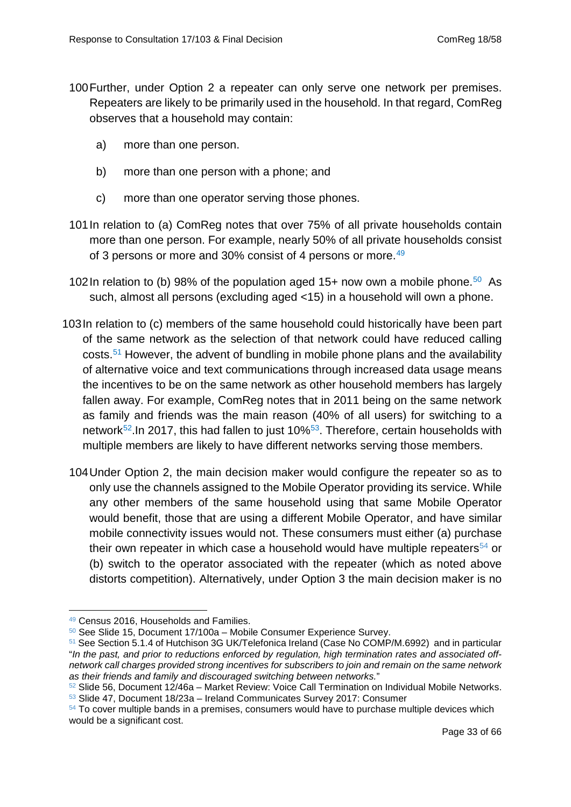- 100Further, under Option 2 a repeater can only serve one network per premises. Repeaters are likely to be primarily used in the household. In that regard, ComReg observes that a household may contain:
	- a) more than one person.
	- b) more than one person with a phone; and
	- c) more than one operator serving those phones.
- 101In relation to (a) ComReg notes that over 75% of all private households contain more than one person. For example, nearly 50% of all private households consist of 3 persons or more and 30% consist of 4 persons or more.<sup>49</sup>
- 102 In relation to (b) 98% of the population aged 15+ now own a mobile phone.<sup>[50](#page-32-1)</sup> As such, almost all persons (excluding aged <15) in a household will own a phone.
- 103In relation to (c) members of the same household could historically have been part of the same network as the selection of that network could have reduced calling costs.[51](#page-32-2) However, the advent of bundling in mobile phone plans and the availability of alternative voice and text communications through increased data usage means the incentives to be on the same network as other household members has largely fallen away. For example, ComReg notes that in 2011 being on the same network as family and friends was the main reason (40% of all users) for switching to a network<sup>52</sup>. In 2017, this had fallen to just 10%<sup>[53](#page-32-4)</sup>. Therefore, certain households with multiple members are likely to have different networks serving those members.
	- 104Under Option 2, the main decision maker would configure the repeater so as to only use the channels assigned to the Mobile Operator providing its service. While any other members of the same household using that same Mobile Operator would benefit, those that are using a different Mobile Operator, and have similar mobile connectivity issues would not. These consumers must either (a) purchase their own repeater in which case a household would have multiple repeaters<sup>[54](#page-32-5)</sup> or (b) switch to the operator associated with the repeater (which as noted above distorts competition). Alternatively, under Option 3 the main decision maker is no

<sup>49</sup> Census 2016, Households and Families. -

<span id="page-32-1"></span><span id="page-32-0"></span><sup>50</sup> See Slide 15, Document 17/100a – Mobile Consumer Experience Survey.

<span id="page-32-2"></span><sup>51</sup> See Section 5.1.4 of Hutchison 3G UK/Telefonica Ireland (Case No COMP/M.6992) and in particular "*In the past, and prior to reductions enforced by regulation, high termination rates and associated offnetwork call charges provided strong incentives for subscribers to join and remain on the same network as their friends and family and discouraged switching between networks.*"

<span id="page-32-3"></span> $52$  Slide 56, Document 12/46a – Market Review: Voice Call Termination on Individual Mobile Networks. <sup>53</sup> Slide 47, Document 18/23a – Ireland Communicates Survey 2017: Consumer

<span id="page-32-5"></span><span id="page-32-4"></span> $54$  To cover multiple bands in a premises, consumers would have to purchase multiple devices which would be a significant cost.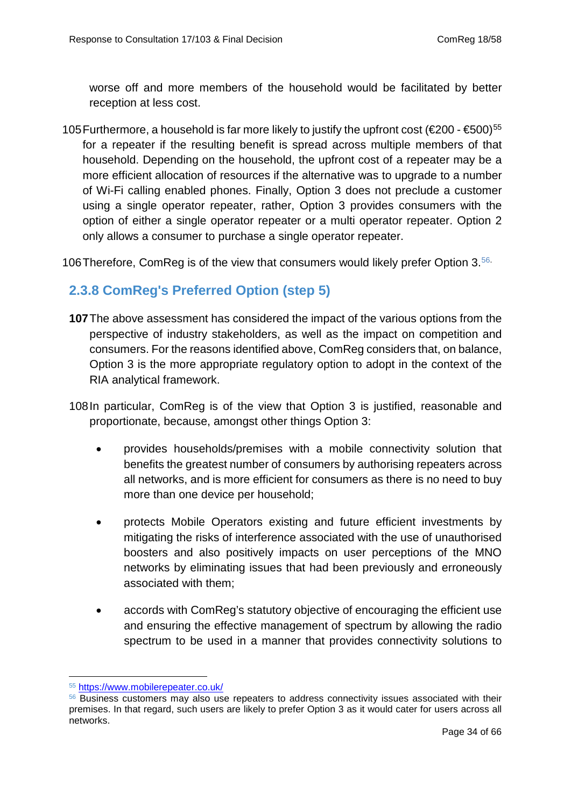worse off and more members of the household would be facilitated by better reception at less cost.

105 Furthermore, a household is far more likely to justify the upfront cost ( $\epsilon$ 200 -  $\epsilon$ 500)<sup>[55](#page-33-1)</sup> for a repeater if the resulting benefit is spread across multiple members of that household. Depending on the household, the upfront cost of a repeater may be a more efficient allocation of resources if the alternative was to upgrade to a number of Wi-Fi calling enabled phones. Finally, Option 3 does not preclude a customer using a single operator repeater, rather, Option 3 provides consumers with the option of either a single operator repeater or a multi operator repeater. Option 2 only allows a consumer to purchase a single operator repeater.

<span id="page-33-0"></span>106 Therefore, ComReg is of the view that consumers would likely prefer Option 3.<sup>[56](#page-33-2).</sup>

## **2.3.8 ComReg's Preferred Option (step 5)**

- **107**The above assessment has considered the impact of the various options from the perspective of industry stakeholders, as well as the impact on competition and consumers. For the reasons identified above, ComReg considers that, on balance, Option 3 is the more appropriate regulatory option to adopt in the context of the RIA analytical framework.
- 108In particular, ComReg is of the view that Option 3 is justified, reasonable and proportionate, because, amongst other things Option 3:
	- provides households/premises with a mobile connectivity solution that benefits the greatest number of consumers by authorising repeaters across all networks, and is more efficient for consumers as there is no need to buy more than one device per household;
	- protects Mobile Operators existing and future efficient investments by mitigating the risks of interference associated with the use of unauthorised boosters and also positively impacts on user perceptions of the MNO networks by eliminating issues that had been previously and erroneously associated with them;
	- accords with ComReg's statutory objective of encouraging the efficient use and ensuring the effective management of spectrum by allowing the radio spectrum to be used in a manner that provides connectivity solutions to

<sup>55</sup> <https://www.mobilerepeater.co.uk/> -

<span id="page-33-2"></span><span id="page-33-1"></span><sup>&</sup>lt;sup>56</sup> Business customers may also use repeaters to address connectivity issues associated with their premises. In that regard, such users are likely to prefer Option 3 as it would cater for users across all networks.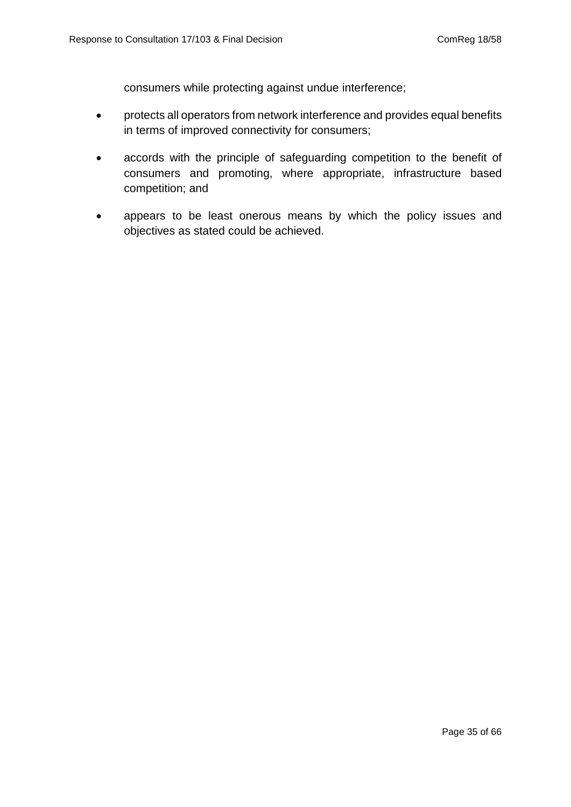consumers while protecting against undue interference;

- protects all operators from network interference and provides equal benefits in terms of improved connectivity for consumers;
- accords with the principle of safeguarding competition to the benefit of consumers and promoting, where appropriate, infrastructure based competition; and
- appears to be least onerous means by which the policy issues and objectives as stated could be achieved.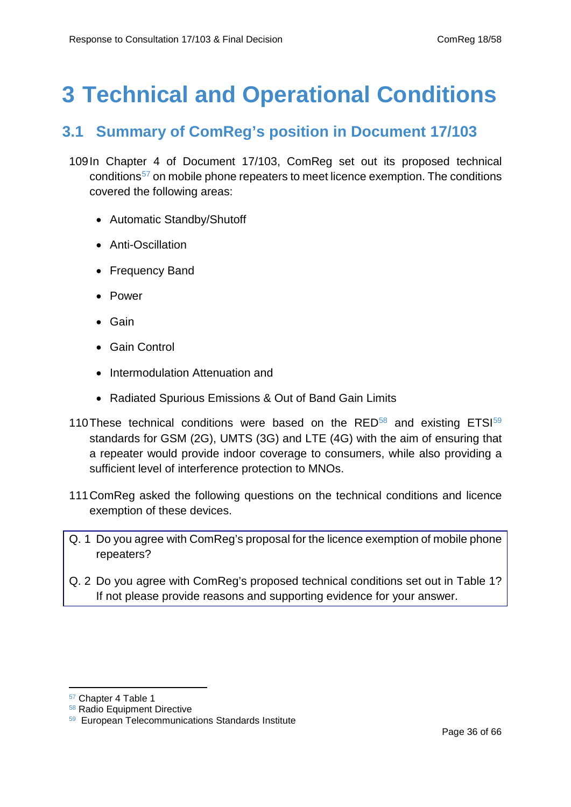# <span id="page-35-1"></span><span id="page-35-0"></span>**3 Technical and Operational Conditions**

## **3.1 Summary of ComReg's position in Document 17/103**

- 109In Chapter 4 of Document 17/103, ComReg set out its proposed technical conditions[57](#page-35-2) on mobile phone repeaters to meet licence exemption. The conditions covered the following areas:
	- Automatic Standby/Shutoff
	- Anti-Oscillation
	- Frequency Band
	- Power
	- Gain
	- Gain Control
	- Intermodulation Attenuation and
	- Radiated Spurious Emissions & Out of Band Gain Limits
- 110 These technical conditions were based on the  $RED^{58}$  $RED^{58}$  $RED^{58}$  and existing  $ETS^{59}$ standards for GSM (2G), UMTS (3G) and LTE (4G) with the aim of ensuring that a repeater would provide indoor coverage to consumers, while also providing a sufficient level of interference protection to MNOs.
- 111ComReg asked the following questions on the technical conditions and licence exemption of these devices.
- Q. 1 Do you agree with ComReg's proposal for the licence exemption of mobile phone repeaters?
- Q. 2 Do you agree with ComReg's proposed technical conditions set out in Table 1? If not please provide reasons and supporting evidence for your answer.

<u>.</u>

<span id="page-35-2"></span><sup>57</sup> Chapter 4 Table 1

<span id="page-35-3"></span><sup>58</sup> Radio Equipment Directive

<span id="page-35-4"></span><sup>59</sup> European Telecommunications Standards Institute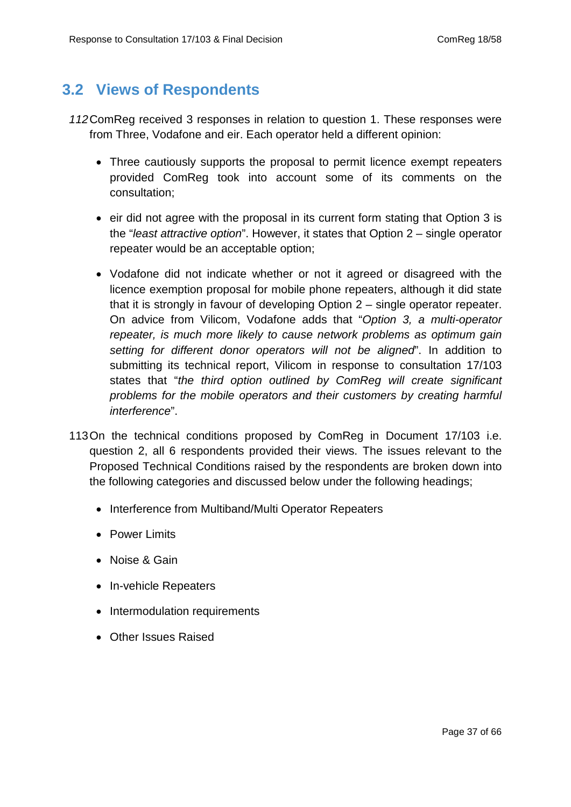## <span id="page-36-0"></span>**3.2 Views of Respondents**

- *112*ComReg received 3 responses in relation to question 1. These responses were from Three, Vodafone and eir. Each operator held a different opinion:
	- Three cautiously supports the proposal to permit licence exempt repeaters provided ComReg took into account some of its comments on the consultation;
	- eir did not agree with the proposal in its current form stating that Option 3 is the "*least attractive option*". However, it states that Option 2 – single operator repeater would be an acceptable option;
	- Vodafone did not indicate whether or not it agreed or disagreed with the licence exemption proposal for mobile phone repeaters, although it did state that it is strongly in favour of developing Option 2 – single operator repeater. On advice from Vilicom, Vodafone adds that "*Option 3, a multi-operator repeater, is much more likely to cause network problems as optimum gain setting for different donor operators will not be aligned*". In addition to submitting its technical report, Vilicom in response to consultation 17/103 states that "*the third option outlined by ComReg will create significant problems for the mobile operators and their customers by creating harmful interference*".
- 113On the technical conditions proposed by ComReg in Document 17/103 i.e. question 2, all 6 respondents provided their views. The issues relevant to the Proposed Technical Conditions raised by the respondents are broken down into the following categories and discussed below under the following headings;
	- Interference from Multiband/Multi Operator Repeaters
	- Power Limits
	- Noise & Gain
	- In-vehicle Repeaters
	- Intermodulation requirements
	- Other Issues Raised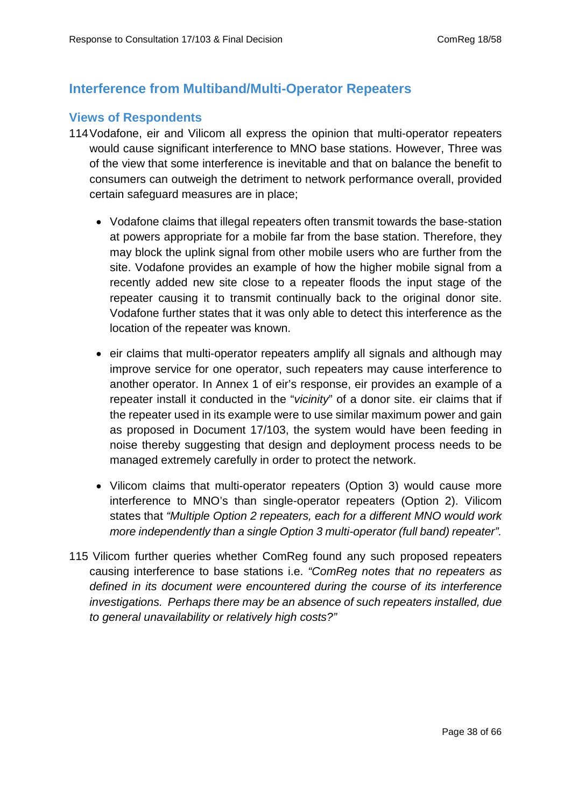## <span id="page-37-0"></span>**Interference from Multiband/Multi-Operator Repeaters**

#### **Views of Respondents**

- 114Vodafone, eir and Vilicom all express the opinion that multi-operator repeaters would cause significant interference to MNO base stations. However, Three was of the view that some interference is inevitable and that on balance the benefit to consumers can outweigh the detriment to network performance overall, provided certain safeguard measures are in place;
	- Vodafone claims that illegal repeaters often transmit towards the base-station at powers appropriate for a mobile far from the base station. Therefore, they may block the uplink signal from other mobile users who are further from the site. Vodafone provides an example of how the higher mobile signal from a recently added new site close to a repeater floods the input stage of the repeater causing it to transmit continually back to the original donor site. Vodafone further states that it was only able to detect this interference as the location of the repeater was known.
	- eir claims that multi-operator repeaters amplify all signals and although may improve service for one operator, such repeaters may cause interference to another operator. In Annex 1 of eir's response, eir provides an example of a repeater install it conducted in the "*vicinity*" of a donor site. eir claims that if the repeater used in its example were to use similar maximum power and gain as proposed in Document 17/103, the system would have been feeding in noise thereby suggesting that design and deployment process needs to be managed extremely carefully in order to protect the network.
	- Vilicom claims that multi-operator repeaters (Option 3) would cause more interference to MNO's than single-operator repeaters (Option 2). Vilicom states that *"Multiple Option 2 repeaters, each for a different MNO would work more independently than a single Option 3 multi-operator (full band) repeater".*
- 115 Vilicom further queries whether ComReg found any such proposed repeaters causing interference to base stations i.e. *"ComReg notes that no repeaters as defined in its document were encountered during the course of its interference investigations. Perhaps there may be an absence of such repeaters installed, due to general unavailability or relatively high costs?"*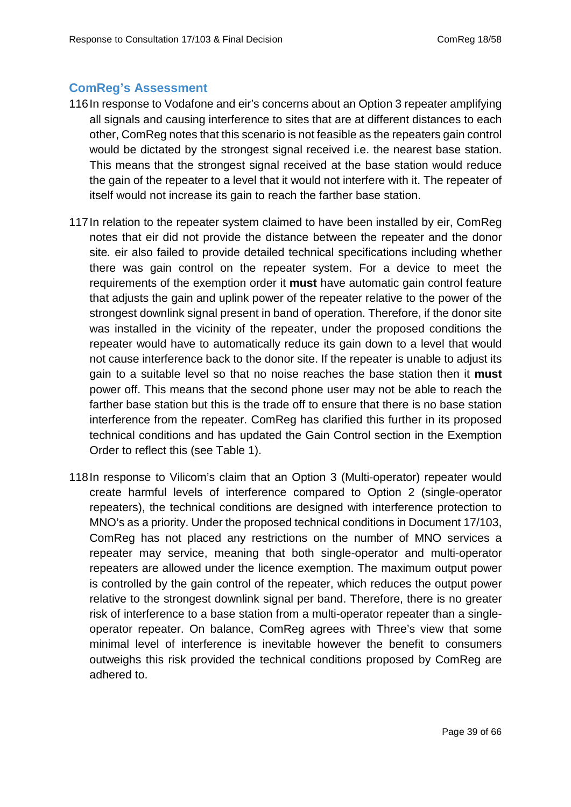#### **ComReg's Assessment**

- 116In response to Vodafone and eir's concerns about an Option 3 repeater amplifying all signals and causing interference to sites that are at different distances to each other, ComReg notes that this scenario is not feasible as the repeaters gain control would be dictated by the strongest signal received i.e. the nearest base station. This means that the strongest signal received at the base station would reduce the gain of the repeater to a level that it would not interfere with it. The repeater of itself would not increase its gain to reach the farther base station.
- 117In relation to the repeater system claimed to have been installed by eir, ComReg notes that eir did not provide the distance between the repeater and the donor site*.* eir also failed to provide detailed technical specifications including whether there was gain control on the repeater system. For a device to meet the requirements of the exemption order it **must** have automatic gain control feature that adjusts the gain and uplink power of the repeater relative to the power of the strongest downlink signal present in band of operation. Therefore, if the donor site was installed in the vicinity of the repeater, under the proposed conditions the repeater would have to automatically reduce its gain down to a level that would not cause interference back to the donor site. If the repeater is unable to adjust its gain to a suitable level so that no noise reaches the base station then it **must** power off. This means that the second phone user may not be able to reach the farther base station but this is the trade off to ensure that there is no base station interference from the repeater. ComReg has clarified this further in its proposed technical conditions and has updated the Gain Control section in the Exemption Order to reflect this (see Table 1).
- 118In response to Vilicom's claim that an Option 3 (Multi-operator) repeater would create harmful levels of interference compared to Option 2 (single-operator repeaters), the technical conditions are designed with interference protection to MNO's as a priority. Under the proposed technical conditions in Document 17/103, ComReg has not placed any restrictions on the number of MNO services a repeater may service, meaning that both single-operator and multi-operator repeaters are allowed under the licence exemption. The maximum output power is controlled by the gain control of the repeater, which reduces the output power relative to the strongest downlink signal per band. Therefore, there is no greater risk of interference to a base station from a multi-operator repeater than a singleoperator repeater. On balance, ComReg agrees with Three's view that some minimal level of interference is inevitable however the benefit to consumers outweighs this risk provided the technical conditions proposed by ComReg are adhered to.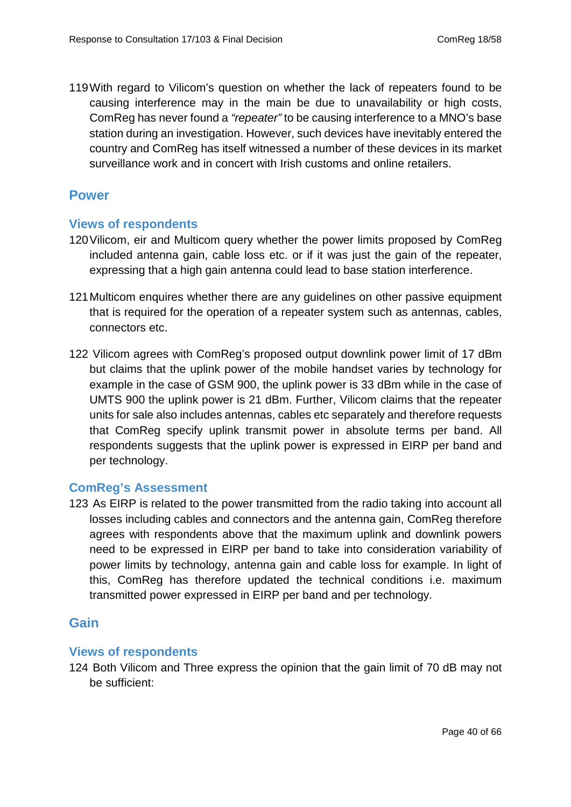119With regard to Vilicom's question on whether the lack of repeaters found to be causing interference may in the main be due to unavailability or high costs, ComReg has never found a *"repeater"* to be causing interference to a MNO's base station during an investigation. However, such devices have inevitably entered the country and ComReg has itself witnessed a number of these devices in its market surveillance work and in concert with Irish customs and online retailers.

#### <span id="page-39-0"></span>**Power**

#### **Views of respondents**

- 120Vilicom, eir and Multicom query whether the power limits proposed by ComReg included antenna gain, cable loss etc. or if it was just the gain of the repeater, expressing that a high gain antenna could lead to base station interference.
- 121Multicom enquires whether there are any guidelines on other passive equipment that is required for the operation of a repeater system such as antennas, cables, connectors etc.
- 122 Vilicom agrees with ComReg's proposed output downlink power limit of 17 dBm but claims that the uplink power of the mobile handset varies by technology for example in the case of GSM 900, the uplink power is 33 dBm while in the case of UMTS 900 the uplink power is 21 dBm. Further, Vilicom claims that the repeater units for sale also includes antennas, cables etc separately and therefore requests that ComReg specify uplink transmit power in absolute terms per band. All respondents suggests that the uplink power is expressed in EIRP per band and per technology.

#### **ComReg's Assessment**

123 As EIRP is related to the power transmitted from the radio taking into account all losses including cables and connectors and the antenna gain, ComReg therefore agrees with respondents above that the maximum uplink and downlink powers need to be expressed in EIRP per band to take into consideration variability of power limits by technology, antenna gain and cable loss for example. In light of this, ComReg has therefore updated the technical conditions i.e. maximum transmitted power expressed in EIRP per band and per technology.

#### <span id="page-39-1"></span>**Gain**

#### **Views of respondents**

124 Both Vilicom and Three express the opinion that the gain limit of 70 dB may not be sufficient: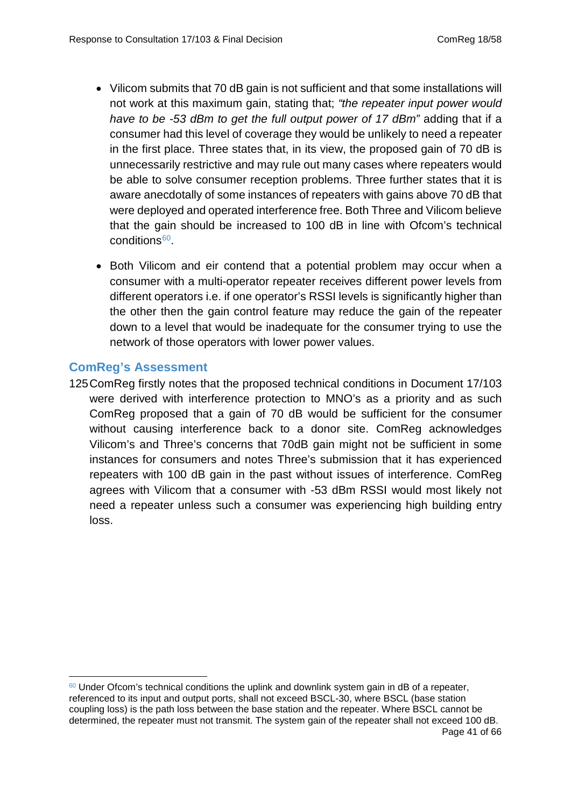- Vilicom submits that 70 dB gain is not sufficient and that some installations will not work at this maximum gain, stating that; *"the repeater input power would have to be -53 dBm to get the full output power of 17 dBm"* adding that if a consumer had this level of coverage they would be unlikely to need a repeater in the first place. Three states that, in its view, the proposed gain of 70 dB is unnecessarily restrictive and may rule out many cases where repeaters would be able to solve consumer reception problems. Three further states that it is aware anecdotally of some instances of repeaters with gains above 70 dB that were deployed and operated interference free. Both Three and Vilicom believe that the gain should be increased to 100 dB in line with Ofcom's technical conditions<sup>[60](#page-40-0)</sup>
- Both Vilicom and eir contend that a potential problem may occur when a consumer with a multi-operator repeater receives different power levels from different operators i.e. if one operator's RSSI levels is significantly higher than the other then the gain control feature may reduce the gain of the repeater down to a level that would be inadequate for the consumer trying to use the network of those operators with lower power values.

#### **ComReg's Assessment**

125ComReg firstly notes that the proposed technical conditions in Document 17/103 were derived with interference protection to MNO's as a priority and as such ComReg proposed that a gain of 70 dB would be sufficient for the consumer without causing interference back to a donor site. ComReg acknowledges Vilicom's and Three's concerns that 70dB gain might not be sufficient in some instances for consumers and notes Three's submission that it has experienced repeaters with 100 dB gain in the past without issues of interference. ComReg agrees with Vilicom that a consumer with -53 dBm RSSI would most likely not need a repeater unless such a consumer was experiencing high building entry loss.

<span id="page-40-0"></span> $60$  Under Ofcom's technical conditions the uplink and downlink system gain in dB of a repeater, referenced to its input and output ports, shall not exceed BSCL-30, where BSCL (base station coupling loss) is the path loss between the base station and the repeater. Where BSCL cannot be determined, the repeater must not transmit. The system gain of the repeater shall not exceed 100 dB. Page 41 of 66 -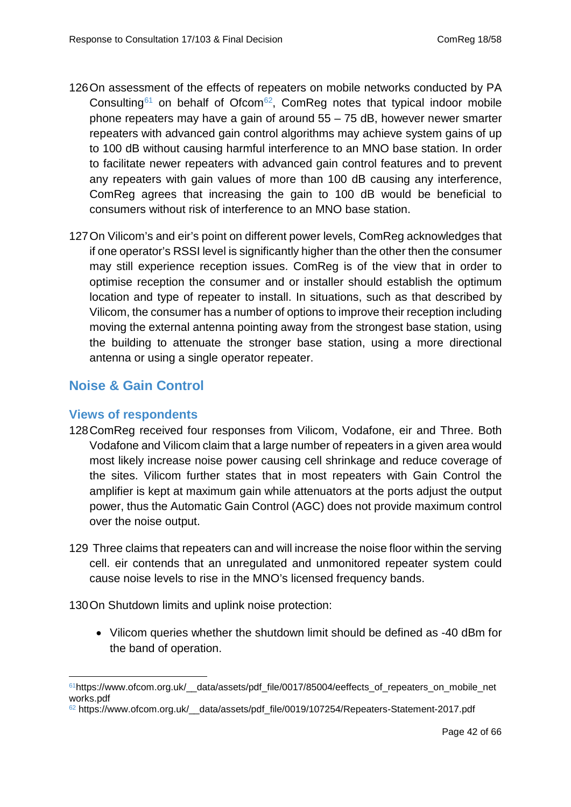- 126On assessment of the effects of repeaters on mobile networks conducted by PA Consulting<sup>[61](#page-41-1)</sup> on behalf of Ofcom<sup>[62](#page-41-2)</sup>, ComReg notes that typical indoor mobile phone repeaters may have a gain of around 55 – 75 dB, however newer smarter repeaters with advanced gain control algorithms may achieve system gains of up to 100 dB without causing harmful interference to an MNO base station. In order to facilitate newer repeaters with advanced gain control features and to prevent any repeaters with gain values of more than 100 dB causing any interference, ComReg agrees that increasing the gain to 100 dB would be beneficial to consumers without risk of interference to an MNO base station.
- 127On Vilicom's and eir's point on different power levels, ComReg acknowledges that if one operator's RSSI level is significantly higher than the other then the consumer may still experience reception issues. ComReg is of the view that in order to optimise reception the consumer and or installer should establish the optimum location and type of repeater to install. In situations, such as that described by Vilicom, the consumer has a number of options to improve their reception including moving the external antenna pointing away from the strongest base station, using the building to attenuate the stronger base station, using a more directional antenna or using a single operator repeater.

#### <span id="page-41-0"></span>**Noise & Gain Control**

#### **Views of respondents**

- 128ComReg received four responses from Vilicom, Vodafone, eir and Three. Both Vodafone and Vilicom claim that a large number of repeaters in a given area would most likely increase noise power causing cell shrinkage and reduce coverage of the sites. Vilicom further states that in most repeaters with Gain Control the amplifier is kept at maximum gain while attenuators at the ports adjust the output power, thus the Automatic Gain Control (AGC) does not provide maximum control over the noise output.
- 129 Three claims that repeaters can and will increase the noise floor within the serving cell. eir contends that an unregulated and unmonitored repeater system could cause noise levels to rise in the MNO's licensed frequency bands.

130On Shutdown limits and uplink noise protection:

• Vilicom queries whether the shutdown limit should be defined as -40 dBm for the band of operation.

<span id="page-41-1"></span> $61$ https://www.ofcom.org.uk/ data/assets/pdf file/0017/85004/eeffects of repeaters on mobile net works.pdf -

<span id="page-41-2"></span><sup>62</sup> https://www.ofcom.org.uk/\_\_data/assets/pdf\_file/0019/107254/Repeaters-Statement-2017.pdf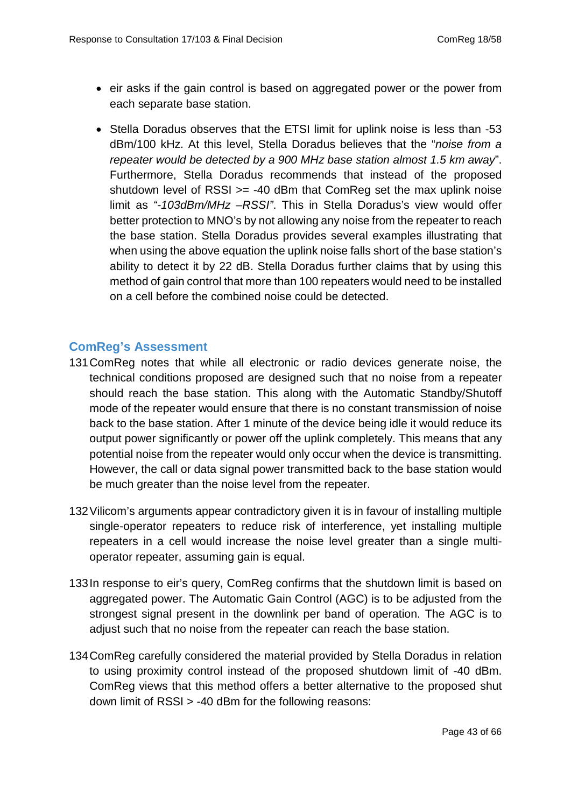- eir asks if the gain control is based on aggregated power or the power from each separate base station.
- Stella Doradus observes that the ETSI limit for uplink noise is less than -53 dBm/100 kHz. At this level, Stella Doradus believes that the "*noise from a repeater would be detected by a 900 MHz base station almost 1.5 km away*". Furthermore, Stella Doradus recommends that instead of the proposed shutdown level of RSSI  $>= -40$  dBm that ComReg set the max uplink noise limit as *"-103dBm/MHz –RSSI"*. This in Stella Doradus's view would offer better protection to MNO's by not allowing any noise from the repeater to reach the base station. Stella Doradus provides several examples illustrating that when using the above equation the uplink noise falls short of the base station's ability to detect it by 22 dB. Stella Doradus further claims that by using this method of gain control that more than 100 repeaters would need to be installed on a cell before the combined noise could be detected.

#### **ComReg's Assessment**

- 131ComReg notes that while all electronic or radio devices generate noise, the technical conditions proposed are designed such that no noise from a repeater should reach the base station. This along with the Automatic Standby/Shutoff mode of the repeater would ensure that there is no constant transmission of noise back to the base station. After 1 minute of the device being idle it would reduce its output power significantly or power off the uplink completely. This means that any potential noise from the repeater would only occur when the device is transmitting. However, the call or data signal power transmitted back to the base station would be much greater than the noise level from the repeater.
- 132Vilicom's arguments appear contradictory given it is in favour of installing multiple single-operator repeaters to reduce risk of interference, yet installing multiple repeaters in a cell would increase the noise level greater than a single multioperator repeater, assuming gain is equal.
- 133In response to eir's query, ComReg confirms that the shutdown limit is based on aggregated power. The Automatic Gain Control (AGC) is to be adjusted from the strongest signal present in the downlink per band of operation. The AGC is to adjust such that no noise from the repeater can reach the base station.
- 134ComReg carefully considered the material provided by Stella Doradus in relation to using proximity control instead of the proposed shutdown limit of -40 dBm. ComReg views that this method offers a better alternative to the proposed shut down limit of RSSI > -40 dBm for the following reasons: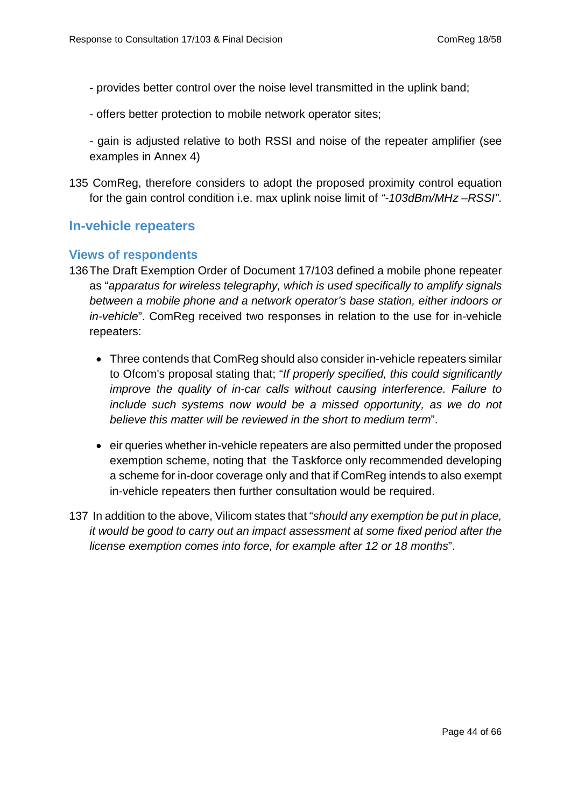- provides better control over the noise level transmitted in the uplink band;
- offers better protection to mobile network operator sites;
- gain is adjusted relative to both RSSI and noise of the repeater amplifier (see examples in Annex 4)
- <span id="page-43-0"></span>135 ComReg, therefore considers to adopt the proposed proximity control equation for the gain control condition i.e. max uplink noise limit of *"-103dBm/MHz –RSSI"*.

#### **In-vehicle repeaters**

#### **Views of respondents**

- 136The Draft Exemption Order of Document 17/103 defined a mobile phone repeater as "*apparatus for wireless telegraphy, which is used specifically to amplify signals between a mobile phone and a network operator's base station, either indoors or in-vehicle*". ComReg received two responses in relation to the use for in-vehicle repeaters:
	- Three contends that ComReg should also consider in-vehicle repeaters similar to Ofcom's proposal stating that; "*If properly specified, this could significantly improve the quality of in-car calls without causing interference. Failure to include such systems now would be a missed opportunity, as we do not believe this matter will be reviewed in the short to medium term*".
	- eir queries whether in-vehicle repeaters are also permitted under the proposed exemption scheme, noting that the Taskforce only recommended developing a scheme for in-door coverage only and that if ComReg intends to also exempt in-vehicle repeaters then further consultation would be required.
- 137 In addition to the above, Vilicom states that "*should any exemption be put in place, it would be good to carry out an impact assessment at some fixed period after the license exemption comes into force, for example after 12 or 18 months*".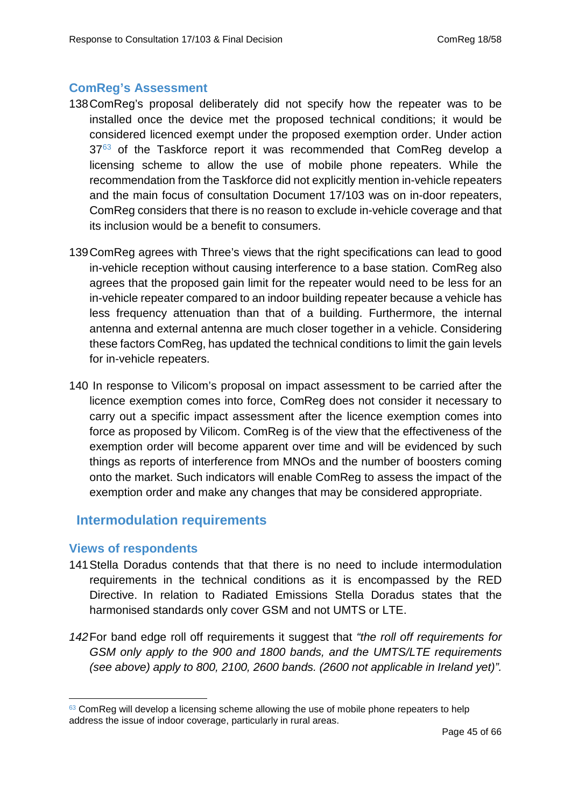#### **ComReg's Assessment**

- 138ComReg's proposal deliberately did not specify how the repeater was to be installed once the device met the proposed technical conditions; it would be considered licenced exempt under the proposed exemption order. Under action  $37<sup>63</sup>$  $37<sup>63</sup>$  $37<sup>63</sup>$  of the Taskforce report it was recommended that ComReg develop a licensing scheme to allow the use of mobile phone repeaters. While the recommendation from the Taskforce did not explicitly mention in-vehicle repeaters and the main focus of consultation Document 17/103 was on in-door repeaters, ComReg considers that there is no reason to exclude in-vehicle coverage and that its inclusion would be a benefit to consumers.
- 139ComReg agrees with Three's views that the right specifications can lead to good in-vehicle reception without causing interference to a base station. ComReg also agrees that the proposed gain limit for the repeater would need to be less for an in-vehicle repeater compared to an indoor building repeater because a vehicle has less frequency attenuation than that of a building. Furthermore, the internal antenna and external antenna are much closer together in a vehicle. Considering these factors ComReg, has updated the technical conditions to limit the gain levels for in-vehicle repeaters.
- 140 In response to Vilicom's proposal on impact assessment to be carried after the licence exemption comes into force, ComReg does not consider it necessary to carry out a specific impact assessment after the licence exemption comes into force as proposed by Vilicom. ComReg is of the view that the effectiveness of the exemption order will become apparent over time and will be evidenced by such things as reports of interference from MNOs and the number of boosters coming onto the market. Such indicators will enable ComReg to assess the impact of the exemption order and make any changes that may be considered appropriate.

#### <span id="page-44-0"></span> **Intermodulation requirements**

#### **Views of respondents**

-

- 141Stella Doradus contends that that there is no need to include intermodulation requirements in the technical conditions as it is encompassed by the RED Directive. In relation to Radiated Emissions Stella Doradus states that the harmonised standards only cover GSM and not UMTS or LTE.
- *142*For band edge roll off requirements it suggest that *"the roll off requirements for GSM only apply to the 900 and 1800 bands, and the UMTS/LTE requirements (see above) apply to 800, 2100, 2600 bands. (2600 not applicable in Ireland yet)".*

<span id="page-44-1"></span> $63$  ComReg will develop a licensing scheme allowing the use of mobile phone repeaters to help address the issue of indoor coverage, particularly in rural areas.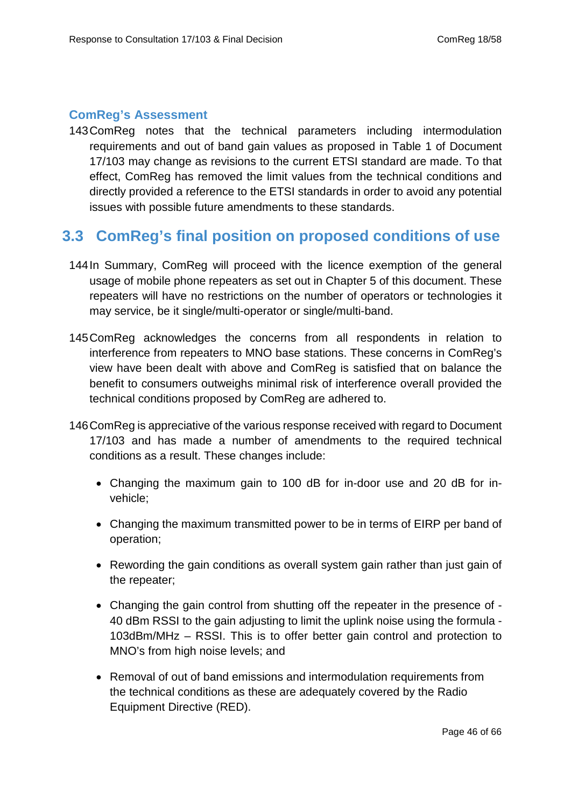#### **ComReg's Assessment**

143ComReg notes that the technical parameters including intermodulation requirements and out of band gain values as proposed in Table 1 of Document 17/103 may change as revisions to the current ETSI standard are made. To that effect, ComReg has removed the limit values from the technical conditions and directly provided a reference to the ETSI standards in order to avoid any potential issues with possible future amendments to these standards.

## <span id="page-45-0"></span>**3.3 ComReg's final position on proposed conditions of use**

- 144In Summary, ComReg will proceed with the licence exemption of the general usage of mobile phone repeaters as set out in Chapter 5 of this document. These repeaters will have no restrictions on the number of operators or technologies it may service, be it single/multi-operator or single/multi-band.
- 145ComReg acknowledges the concerns from all respondents in relation to interference from repeaters to MNO base stations. These concerns in ComReg's view have been dealt with above and ComReg is satisfied that on balance the benefit to consumers outweighs minimal risk of interference overall provided the technical conditions proposed by ComReg are adhered to.
- 146ComReg is appreciative of the various response received with regard to Document 17/103 and has made a number of amendments to the required technical conditions as a result. These changes include:
	- Changing the maximum gain to 100 dB for in-door use and 20 dB for invehicle;
	- Changing the maximum transmitted power to be in terms of EIRP per band of operation;
	- Rewording the gain conditions as overall system gain rather than just gain of the repeater;
	- Changing the gain control from shutting off the repeater in the presence of 40 dBm RSSI to the gain adjusting to limit the uplink noise using the formula - 103dBm/MHz – RSSI. This is to offer better gain control and protection to MNO's from high noise levels; and
	- Removal of out of band emissions and intermodulation requirements from the technical conditions as these are adequately covered by the Radio Equipment Directive (RED).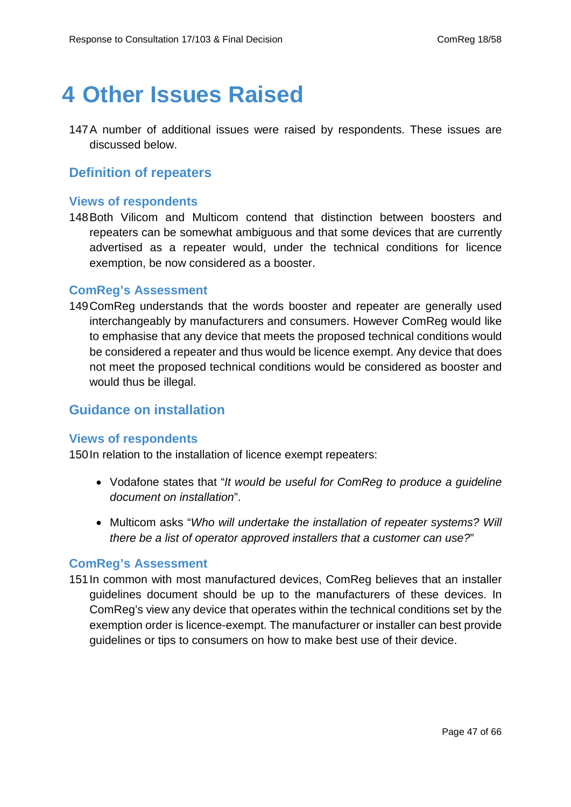## <span id="page-46-0"></span>**4 Other Issues Raised**

<span id="page-46-1"></span>147A number of additional issues were raised by respondents. These issues are discussed below.

## **Definition of repeaters**

#### **Views of respondents**

148Both Vilicom and Multicom contend that distinction between boosters and repeaters can be somewhat ambiguous and that some devices that are currently advertised as a repeater would, under the technical conditions for licence exemption, be now considered as a booster.

#### **ComReg's Assessment**

149ComReg understands that the words booster and repeater are generally used interchangeably by manufacturers and consumers. However ComReg would like to emphasise that any device that meets the proposed technical conditions would be considered a repeater and thus would be licence exempt. Any device that does not meet the proposed technical conditions would be considered as booster and would thus be illegal.

#### <span id="page-46-2"></span>**Guidance on installation**

#### **Views of respondents**

150In relation to the installation of licence exempt repeaters:

- Vodafone states that "*It would be useful for ComReg to produce a guideline document on installation*".
- Multicom asks "*Who will undertake the installation of repeater systems? Will there be a list of operator approved installers that a customer can use?*"

#### **ComReg's Assessment**

151In common with most manufactured devices, ComReg believes that an installer guidelines document should be up to the manufacturers of these devices. In ComReg's view any device that operates within the technical conditions set by the exemption order is licence-exempt. The manufacturer or installer can best provide guidelines or tips to consumers on how to make best use of their device.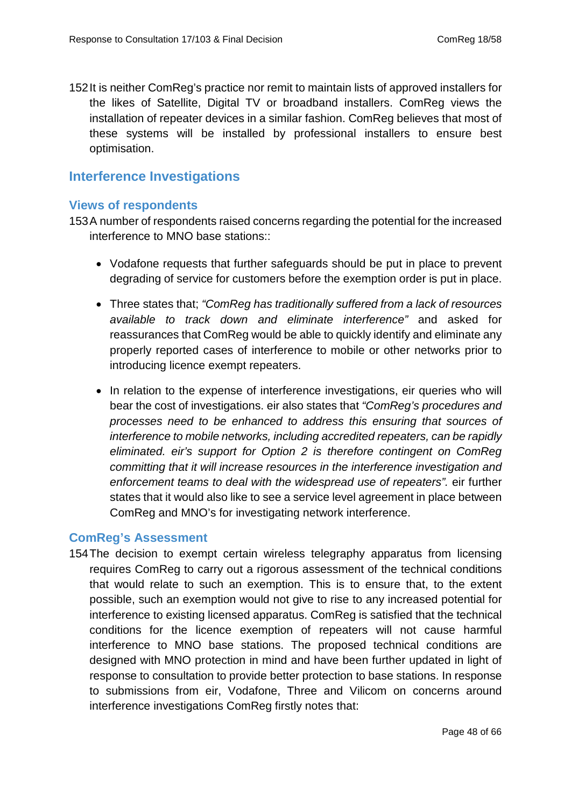<span id="page-47-0"></span>152It is neither ComReg's practice nor remit to maintain lists of approved installers for the likes of Satellite, Digital TV or broadband installers. ComReg views the installation of repeater devices in a similar fashion. ComReg believes that most of these systems will be installed by professional installers to ensure best optimisation.

#### **Interference Investigations**

#### **Views of respondents**

153A number of respondents raised concerns regarding the potential for the increased interference to MNO base stations::

- Vodafone requests that further safeguards should be put in place to prevent degrading of service for customers before the exemption order is put in place.
- Three states that; *"ComReg has traditionally suffered from a lack of resources available to track down and eliminate interference"* and asked for reassurances that ComReg would be able to quickly identify and eliminate any properly reported cases of interference to mobile or other networks prior to introducing licence exempt repeaters.
- In relation to the expense of interference investigations, eir queries who will bear the cost of investigations. eir also states that *"ComReg's procedures and processes need to be enhanced to address this ensuring that sources of interference to mobile networks, including accredited repeaters, can be rapidly eliminated. eir's support for Option 2 is therefore contingent on ComReg committing that it will increase resources in the interference investigation and enforcement teams to deal with the widespread use of repeaters".* eir further states that it would also like to see a service level agreement in place between ComReg and MNO's for investigating network interference.

#### **ComReg's Assessment**

154The decision to exempt certain wireless telegraphy apparatus from licensing requires ComReg to carry out a rigorous assessment of the technical conditions that would relate to such an exemption. This is to ensure that, to the extent possible, such an exemption would not give to rise to any increased potential for interference to existing licensed apparatus. ComReg is satisfied that the technical conditions for the licence exemption of repeaters will not cause harmful interference to MNO base stations. The proposed technical conditions are designed with MNO protection in mind and have been further updated in light of response to consultation to provide better protection to base stations. In response to submissions from eir, Vodafone, Three and Vilicom on concerns around interference investigations ComReg firstly notes that: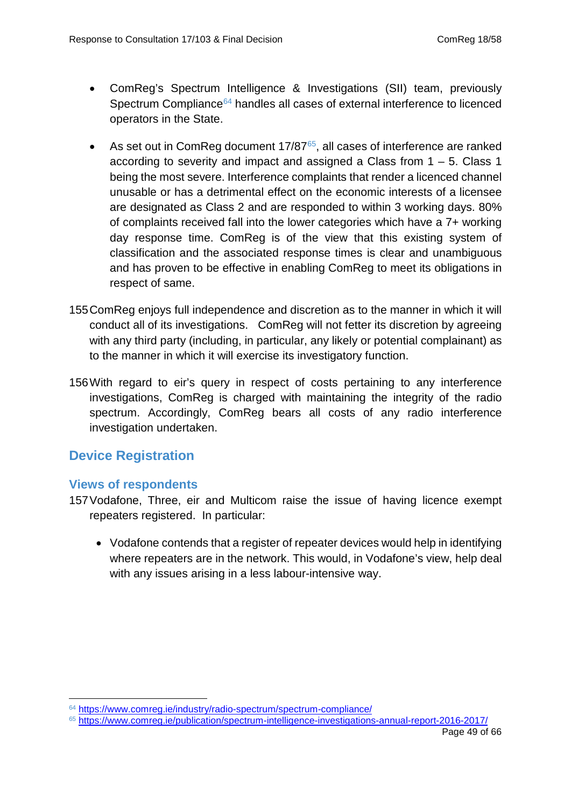- ComReg's Spectrum Intelligence & Investigations (SII) team, previously Spectrum Compliance<sup>[64](#page-48-1)</sup> handles all cases of external interference to licenced operators in the State.
- As set out in ComReg document 17/87<sup>65</sup>, all cases of interference are ranked according to severity and impact and assigned a Class from 1 – 5. Class 1 being the most severe. Interference complaints that render a licenced channel unusable or has a detrimental effect on the economic interests of a licensee are designated as Class 2 and are responded to within 3 working days. 80% of complaints received fall into the lower categories which have a 7+ working day response time. ComReg is of the view that this existing system of classification and the associated response times is clear and unambiguous and has proven to be effective in enabling ComReg to meet its obligations in respect of same.
- 155ComReg enjoys full independence and discretion as to the manner in which it will conduct all of its investigations. ComReg will not fetter its discretion by agreeing with any third party (including, in particular, any likely or potential complainant) as to the manner in which it will exercise its investigatory function.
- <span id="page-48-0"></span>156With regard to eir's query in respect of costs pertaining to any interference investigations, ComReg is charged with maintaining the integrity of the radio spectrum. Accordingly, ComReg bears all costs of any radio interference investigation undertaken.

## **Device Registration**

#### **Views of respondents**

-

- 157Vodafone, Three, eir and Multicom raise the issue of having licence exempt repeaters registered. In particular:
	- Vodafone contends that a register of repeater devices would help in identifying where repeaters are in the network. This would, in Vodafone's view, help deal with any issues arising in a less labour-intensive way.

<span id="page-48-1"></span><sup>64</sup> <https://www.comreg.ie/industry/radio-spectrum/spectrum-compliance/>

<span id="page-48-2"></span><sup>65</sup> <https://www.comreg.ie/publication/spectrum-intelligence-investigations-annual-report-2016-2017/>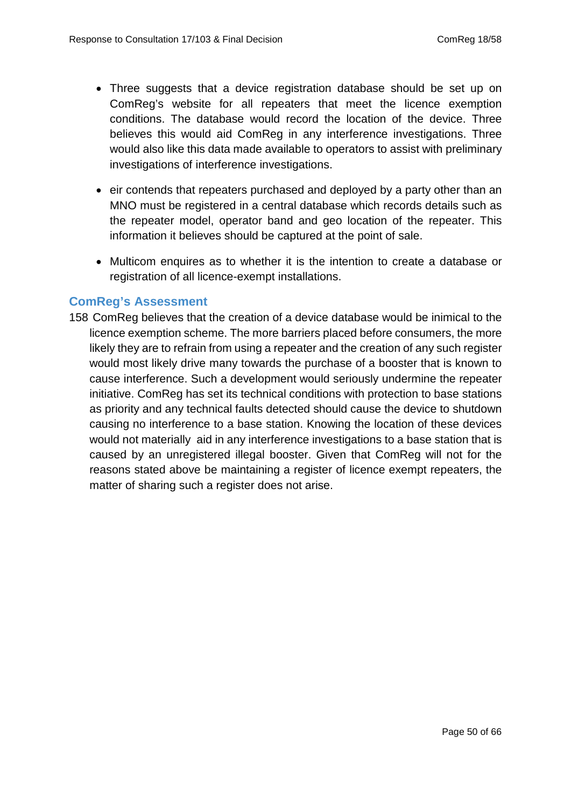- Three suggests that a device registration database should be set up on ComReg's website for all repeaters that meet the licence exemption conditions. The database would record the location of the device. Three believes this would aid ComReg in any interference investigations. Three would also like this data made available to operators to assist with preliminary investigations of interference investigations.
- eir contends that repeaters purchased and deployed by a party other than an MNO must be registered in a central database which records details such as the repeater model, operator band and geo location of the repeater. This information it believes should be captured at the point of sale.
- Multicom enquires as to whether it is the intention to create a database or registration of all licence-exempt installations.

#### **ComReg's Assessment**

158 ComReg believes that the creation of a device database would be inimical to the licence exemption scheme. The more barriers placed before consumers, the more likely they are to refrain from using a repeater and the creation of any such register would most likely drive many towards the purchase of a booster that is known to cause interference. Such a development would seriously undermine the repeater initiative. ComReg has set its technical conditions with protection to base stations as priority and any technical faults detected should cause the device to shutdown causing no interference to a base station. Knowing the location of these devices would not materially aid in any interference investigations to a base station that is caused by an unregistered illegal booster. Given that ComReg will not for the reasons stated above be maintaining a register of licence exempt repeaters, the matter of sharing such a register does not arise.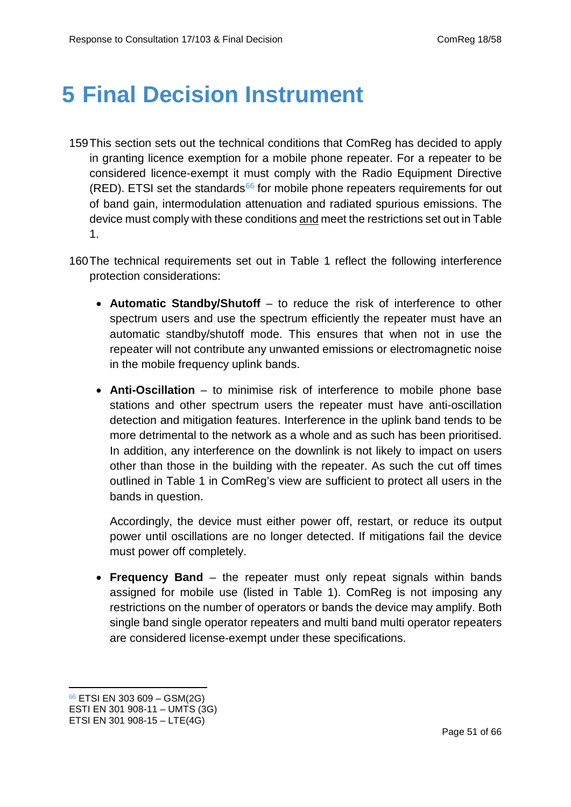## <span id="page-50-0"></span>**5 Final Decision Instrument**

- 159This section sets out the technical conditions that ComReg has decided to apply in granting licence exemption for a mobile phone repeater. For a repeater to be considered licence-exempt it must comply with the Radio Equipment Directive (RED). ETSI set the standards<sup>[66](#page-50-1)</sup> for mobile phone repeaters requirements for out of band gain, intermodulation attenuation and radiated spurious emissions. The device must comply with these conditions and meet the restrictions set out in Table 1.
- 160The technical requirements set out in Table 1 reflect the following interference protection considerations:
	- **Automatic Standby/Shutoff** to reduce the risk of interference to other spectrum users and use the spectrum efficiently the repeater must have an automatic standby/shutoff mode. This ensures that when not in use the repeater will not contribute any unwanted emissions or electromagnetic noise in the mobile frequency uplink bands.
	- **Anti-Oscillation** to minimise risk of interference to mobile phone base stations and other spectrum users the repeater must have anti-oscillation detection and mitigation features. Interference in the uplink band tends to be more detrimental to the network as a whole and as such has been prioritised. In addition, any interference on the downlink is not likely to impact on users other than those in the building with the repeater. As such the cut off times outlined in Table 1 in ComReg's view are sufficient to protect all users in the bands in question.

Accordingly, the device must either power off, restart, or reduce its output power until oscillations are no longer detected. If mitigations fail the device must power off completely.

• **Frequency Band** – the repeater must only repeat signals within bands assigned for mobile use (listed in Table 1). ComReg is not imposing any restrictions on the number of operators or bands the device may amplify. Both single band single operator repeaters and multi band multi operator repeaters are considered license-exempt under these specifications.

<u>.</u>

<span id="page-50-1"></span><sup>66</sup> ETSI EN 303 609 – GSM(2G)

ESTI EN 301 908-11 – UMTS (3G)

ETSI EN 301 908-15 – LTE(4G)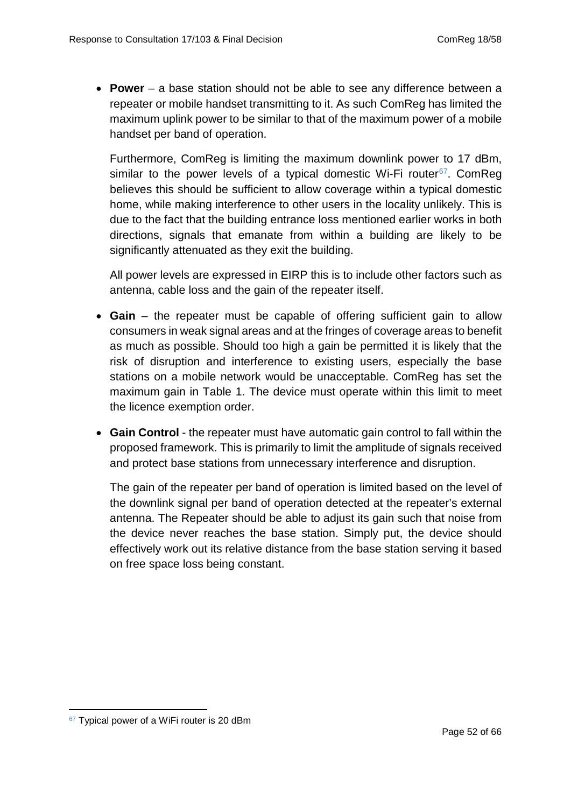• **Power** – a base station should not be able to see any difference between a repeater or mobile handset transmitting to it. As such ComReg has limited the maximum uplink power to be similar to that of the maximum power of a mobile handset per band of operation.

Furthermore, ComReg is limiting the maximum downlink power to 17 dBm, similar to the power levels of a typical domestic Wi-Fi router  $67$ . ComReg believes this should be sufficient to allow coverage within a typical domestic home, while making interference to other users in the locality unlikely. This is due to the fact that the building entrance loss mentioned earlier works in both directions, signals that emanate from within a building are likely to be significantly attenuated as they exit the building.

All power levels are expressed in EIRP this is to include other factors such as antenna, cable loss and the gain of the repeater itself.

- **Gain** the repeater must be capable of offering sufficient gain to allow consumers in weak signal areas and at the fringes of coverage areas to benefit as much as possible. Should too high a gain be permitted it is likely that the risk of disruption and interference to existing users, especially the base stations on a mobile network would be unacceptable. ComReg has set the maximum gain in Table 1. The device must operate within this limit to meet the licence exemption order.
- **Gain Control** the repeater must have automatic gain control to fall within the proposed framework. This is primarily to limit the amplitude of signals received and protect base stations from unnecessary interference and disruption.

The gain of the repeater per band of operation is limited based on the level of the downlink signal per band of operation detected at the repeater's external antenna. The Repeater should be able to adjust its gain such that noise from the device never reaches the base station. Simply put, the device should effectively work out its relative distance from the base station serving it based on free space loss being constant.

<span id="page-51-0"></span><sup>67</sup> Typical power of a WiFi router is 20 dBm -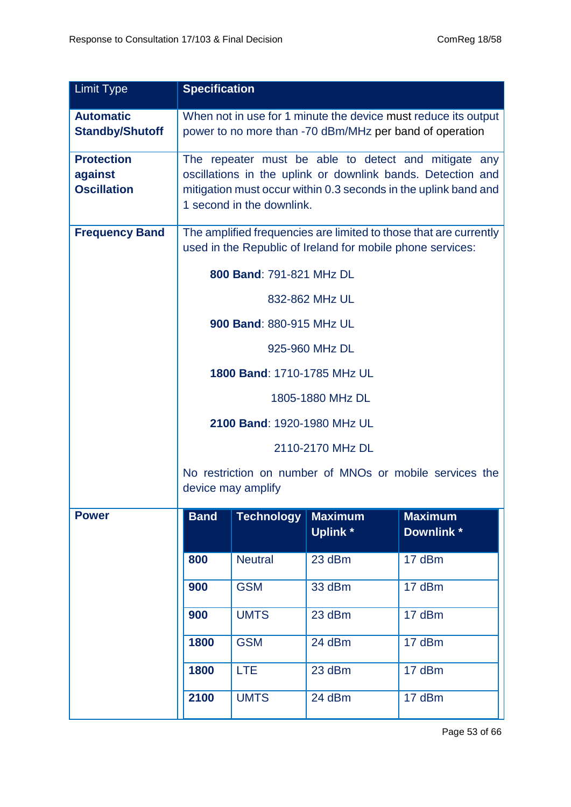| <b>Limit Type</b>                                  | <b>Specification</b>                                                                                                                                                                                                |                          |                                  |                             |
|----------------------------------------------------|---------------------------------------------------------------------------------------------------------------------------------------------------------------------------------------------------------------------|--------------------------|----------------------------------|-----------------------------|
| <b>Automatic</b><br><b>Standby/Shutoff</b>         | When not in use for 1 minute the device must reduce its output<br>power to no more than -70 dBm/MHz per band of operation                                                                                           |                          |                                  |                             |
| <b>Protection</b><br>against<br><b>Oscillation</b> | The repeater must be able to detect and mitigate any<br>oscillations in the uplink or downlink bands. Detection and<br>mitigation must occur within 0.3 seconds in the uplink band and<br>1 second in the downlink. |                          |                                  |                             |
| <b>Frequency Band</b>                              | The amplified frequencies are limited to those that are currently<br>used in the Republic of Ireland for mobile phone services:                                                                                     |                          |                                  |                             |
|                                                    |                                                                                                                                                                                                                     | 800 Band: 791-821 MHz DL |                                  |                             |
|                                                    |                                                                                                                                                                                                                     |                          | 832-862 MHz UL                   |                             |
|                                                    |                                                                                                                                                                                                                     | 900 Band: 880-915 MHz UL |                                  |                             |
|                                                    | 925-960 MHz DL                                                                                                                                                                                                      |                          |                                  |                             |
|                                                    | 1800 Band: 1710-1785 MHz UL                                                                                                                                                                                         |                          |                                  |                             |
|                                                    | 1805-1880 MHz DL                                                                                                                                                                                                    |                          |                                  |                             |
|                                                    | 2100 Band: 1920-1980 MHz UL                                                                                                                                                                                         |                          |                                  |                             |
|                                                    | 2110-2170 MHz DL                                                                                                                                                                                                    |                          |                                  |                             |
|                                                    | No restriction on number of MNOs or mobile services the<br>device may amplify                                                                                                                                       |                          |                                  |                             |
| <b>Power</b>                                       | <b>Band</b>                                                                                                                                                                                                         | <b>Technology</b>        | <b>Maximum</b><br><b>Uplink*</b> | <b>Maximum</b><br>Downlink* |
|                                                    | 800                                                                                                                                                                                                                 | <b>Neutral</b>           | 23 dBm                           | 17 dBm                      |
|                                                    | 900                                                                                                                                                                                                                 | <b>GSM</b>               | 33 dBm                           | 17 dBm                      |
|                                                    | 900                                                                                                                                                                                                                 | <b>UMTS</b>              | 23 dBm                           | 17 dBm                      |
|                                                    | 1800                                                                                                                                                                                                                | <b>GSM</b>               | 24 dBm                           | 17 dBm                      |
|                                                    | <b>LTE</b><br>17 dBm<br>1800<br>23 dBm                                                                                                                                                                              |                          |                                  |                             |
|                                                    | 2100                                                                                                                                                                                                                | <b>UMTS</b>              | 24 dBm                           | 17 dBm                      |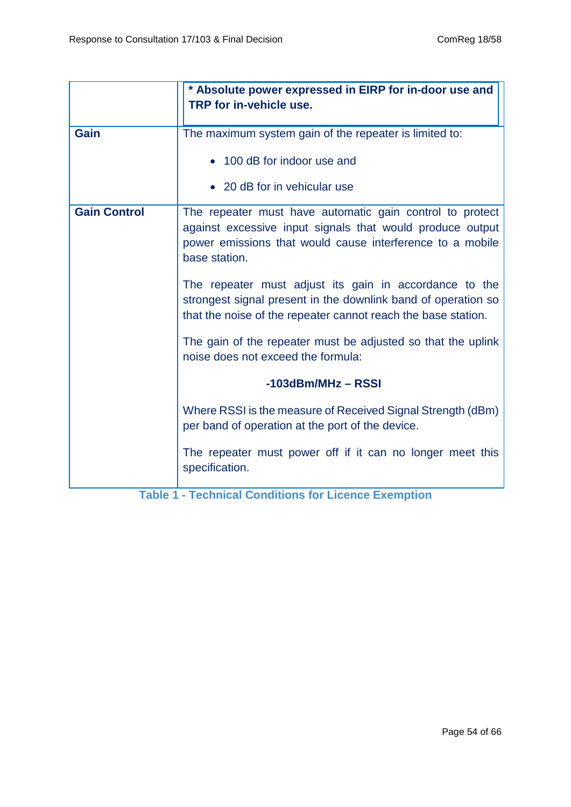|                     | * Absolute power expressed in EIRP for in-door use and<br>TRP for in-vehicle use.                                                                                                                   |  |  |
|---------------------|-----------------------------------------------------------------------------------------------------------------------------------------------------------------------------------------------------|--|--|
| <b>Gain</b>         | The maximum system gain of the repeater is limited to:                                                                                                                                              |  |  |
|                     | • 100 dB for indoor use and                                                                                                                                                                         |  |  |
|                     | • 20 dB for in vehicular use                                                                                                                                                                        |  |  |
| <b>Gain Control</b> | The repeater must have automatic gain control to protect<br>against excessive input signals that would produce output<br>power emissions that would cause interference to a mobile<br>base station. |  |  |
|                     | The repeater must adjust its gain in accordance to the<br>strongest signal present in the downlink band of operation so<br>that the noise of the repeater cannot reach the base station.            |  |  |
|                     | The gain of the repeater must be adjusted so that the uplink<br>noise does not exceed the formula:                                                                                                  |  |  |
|                     | $-103$ dBm/MHz - RSSI                                                                                                                                                                               |  |  |
|                     | Where RSSI is the measure of Received Signal Strength (dBm)<br>per band of operation at the port of the device.                                                                                     |  |  |
|                     | The repeater must power off if it can no longer meet this<br>specification.                                                                                                                         |  |  |

<span id="page-53-0"></span>**Table 1 - Technical Conditions for Licence Exemption**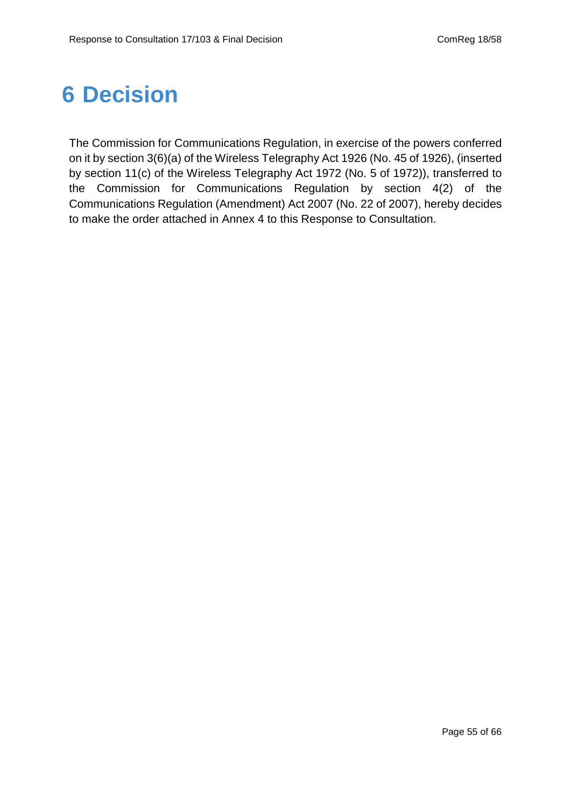# <span id="page-54-0"></span>**6 Decision**

The Commission for Communications Regulation, in exercise of the powers conferred on it by section 3(6)(a) of the Wireless Telegraphy Act 1926 (No. 45 of 1926), (inserted by section 11(c) of the Wireless Telegraphy Act 1972 (No. 5 of 1972)), transferred to the Commission for Communications Regulation by section 4(2) of the Communications Regulation (Amendment) Act 2007 (No. 22 of 2007), hereby decides to make the order attached in Annex 4 to this Response to Consultation.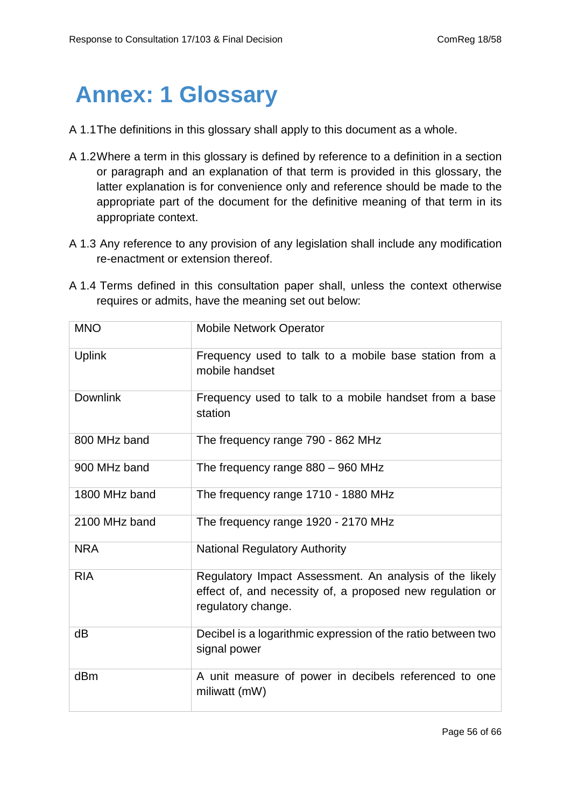## <span id="page-55-0"></span>**Annex: 1 Glossary**

- A 1.1The definitions in this glossary shall apply to this document as a whole.
- A 1.2Where a term in this glossary is defined by reference to a definition in a section or paragraph and an explanation of that term is provided in this glossary, the latter explanation is for convenience only and reference should be made to the appropriate part of the document for the definitive meaning of that term in its appropriate context.
- A 1.3 Any reference to any provision of any legislation shall include any modification re-enactment or extension thereof.
- A 1.4 Terms defined in this consultation paper shall, unless the context otherwise requires or admits, have the meaning set out below:

| <b>MNO</b>      | <b>Mobile Network Operator</b>                                                                                                             |  |  |
|-----------------|--------------------------------------------------------------------------------------------------------------------------------------------|--|--|
| <b>Uplink</b>   | Frequency used to talk to a mobile base station from a<br>mobile handset                                                                   |  |  |
| <b>Downlink</b> | Frequency used to talk to a mobile handset from a base<br>station                                                                          |  |  |
| 800 MHz band    | The frequency range 790 - 862 MHz                                                                                                          |  |  |
| 900 MHz band    | The frequency range 880 - 960 MHz                                                                                                          |  |  |
| 1800 MHz band   | The frequency range 1710 - 1880 MHz                                                                                                        |  |  |
| 2100 MHz band   | The frequency range 1920 - 2170 MHz                                                                                                        |  |  |
| <b>NRA</b>      | <b>National Regulatory Authority</b>                                                                                                       |  |  |
| <b>RIA</b>      | Regulatory Impact Assessment. An analysis of the likely<br>effect of, and necessity of, a proposed new regulation or<br>regulatory change. |  |  |
| dB              | Decibel is a logarithmic expression of the ratio between two<br>signal power                                                               |  |  |
| dBm             | A unit measure of power in decibels referenced to one<br>miliwatt (mW)                                                                     |  |  |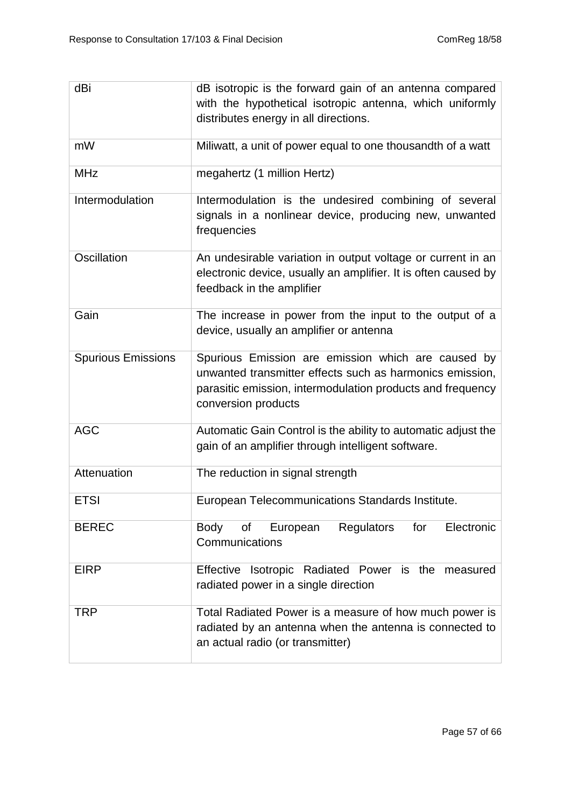| dBi                       | dB isotropic is the forward gain of an antenna compared                                                                                                                                             |  |  |
|---------------------------|-----------------------------------------------------------------------------------------------------------------------------------------------------------------------------------------------------|--|--|
|                           | with the hypothetical isotropic antenna, which uniformly                                                                                                                                            |  |  |
|                           | distributes energy in all directions.                                                                                                                                                               |  |  |
| mW                        | Miliwatt, a unit of power equal to one thousandth of a watt                                                                                                                                         |  |  |
| <b>MHz</b>                | megahertz (1 million Hertz)                                                                                                                                                                         |  |  |
| Intermodulation           | Intermodulation is the undesired combining of several<br>signals in a nonlinear device, producing new, unwanted<br>frequencies                                                                      |  |  |
| Oscillation               | An undesirable variation in output voltage or current in an<br>electronic device, usually an amplifier. It is often caused by<br>feedback in the amplifier                                          |  |  |
| Gain                      | The increase in power from the input to the output of a<br>device, usually an amplifier or antenna                                                                                                  |  |  |
| <b>Spurious Emissions</b> | Spurious Emission are emission which are caused by<br>unwanted transmitter effects such as harmonics emission,<br>parasitic emission, intermodulation products and frequency<br>conversion products |  |  |
| <b>AGC</b>                | Automatic Gain Control is the ability to automatic adjust the<br>gain of an amplifier through intelligent software.                                                                                 |  |  |
| Attenuation               | The reduction in signal strength                                                                                                                                                                    |  |  |
| <b>ETSI</b>               | European Telecommunications Standards Institute.                                                                                                                                                    |  |  |
| <b>BEREC</b>              | Regulators<br>for<br>Electronic<br><b>Body</b><br>of<br>European<br>Communications                                                                                                                  |  |  |
| <b>EIRP</b>               | Effective Isotropic Radiated Power is the measured<br>radiated power in a single direction                                                                                                          |  |  |
| TRP                       | Total Radiated Power is a measure of how much power is<br>radiated by an antenna when the antenna is connected to<br>an actual radio (or transmitter)                                               |  |  |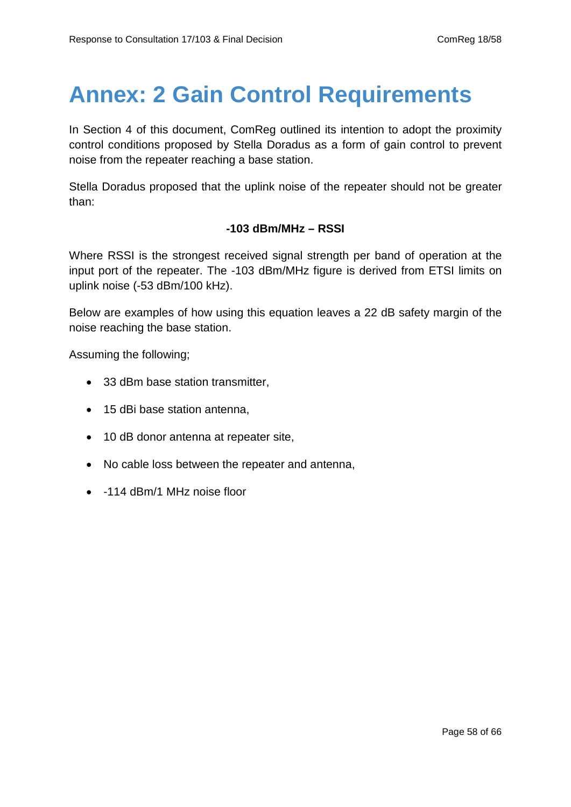# <span id="page-57-0"></span>**Annex: 2 Gain Control Requirements**

In Section 4 of this document, ComReg outlined its intention to adopt the proximity control conditions proposed by Stella Doradus as a form of gain control to prevent noise from the repeater reaching a base station.

Stella Doradus proposed that the uplink noise of the repeater should not be greater than:

#### **-103 dBm/MHz – RSSI**

Where RSSI is the strongest received signal strength per band of operation at the input port of the repeater. The -103 dBm/MHz figure is derived from ETSI limits on uplink noise (-53 dBm/100 kHz).

Below are examples of how using this equation leaves a 22 dB safety margin of the noise reaching the base station.

Assuming the following;

- 33 dBm base station transmitter,
- 15 dBi base station antenna,
- 10 dB donor antenna at repeater site,
- No cable loss between the repeater and antenna,
- -114 dBm/1 MHz noise floor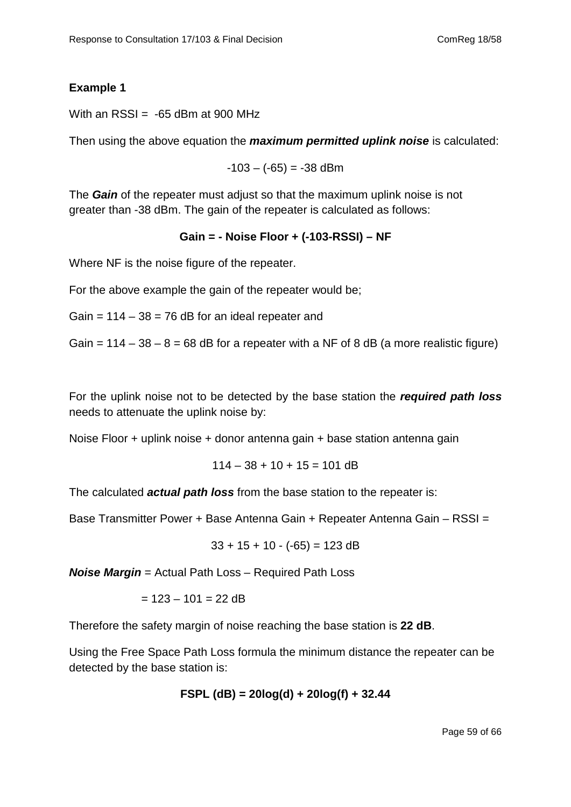#### **Example 1**

With an  $RSSI = -65$  dBm at 900 MHz

Then using the above equation the *maximum permitted uplink noise* is calculated:

 $-103 - (-65) = -38$  dBm

The *Gain* of the repeater must adjust so that the maximum uplink noise is not greater than -38 dBm. The gain of the repeater is calculated as follows:

#### **Gain = - Noise Floor + (-103-RSSI) – NF**

Where NF is the noise figure of the repeater.

For the above example the gain of the repeater would be;

Gain =  $114 - 38 = 76$  dB for an ideal repeater and

Gain =  $114 - 38 - 8 = 68$  dB for a repeater with a NF of 8 dB (a more realistic figure)

For the uplink noise not to be detected by the base station the *required path loss* needs to attenuate the uplink noise by:

Noise Floor + uplink noise + donor antenna gain + base station antenna gain

$$
114 - 38 + 10 + 15 = 101 \text{ dB}
$$

The calculated *actual path loss* from the base station to the repeater is:

Base Transmitter Power + Base Antenna Gain + Repeater Antenna Gain – RSSI =

$$
33 + 15 + 10 - (-65) = 123 \text{ dB}
$$

*Noise Margin* = Actual Path Loss – Required Path Loss

 $= 123 - 101 = 22$  dB

Therefore the safety margin of noise reaching the base station is **22 dB**.

Using the Free Space Path Loss formula the minimum distance the repeater can be detected by the base station is:

$$
FSPL (dB) = 20log(d) + 20log(f) + 32.44
$$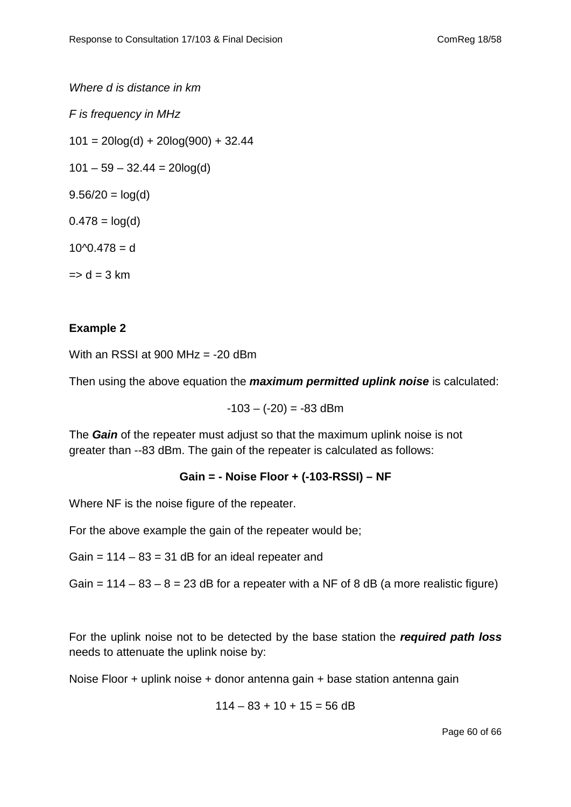*Where d is distance in km*

*F is frequency in MHz*

 $101 = 20\log(d) + 20\log(900) + 32.44$ 

 $101 - 59 - 32.44 = 20\log(d)$ 

 $9.56/20 = log(d)$ 

 $0.478 = log(d)$ 

 $10^{\circ}$ 0.478 = d

 $\Rightarrow$  d = 3 km

#### **Example 2**

With an RSSI at 900 MHz =  $-20$  dBm

Then using the above equation the *maximum permitted uplink noise* is calculated:

$$
-103 - (-20) = -83
$$
 dBm

The *Gain* of the repeater must adjust so that the maximum uplink noise is not greater than --83 dBm. The gain of the repeater is calculated as follows:

#### **Gain = - Noise Floor + (-103-RSSI) – NF**

Where NF is the noise figure of the repeater.

For the above example the gain of the repeater would be;

Gain =  $114 - 83 = 31$  dB for an ideal repeater and

Gain =  $114 - 83 - 8 = 23$  dB for a repeater with a NF of 8 dB (a more realistic figure)

For the uplink noise not to be detected by the base station the *required path loss* needs to attenuate the uplink noise by:

Noise Floor + uplink noise + donor antenna gain + base station antenna gain

$$
114 - 83 + 10 + 15 = 56 \text{ dB}
$$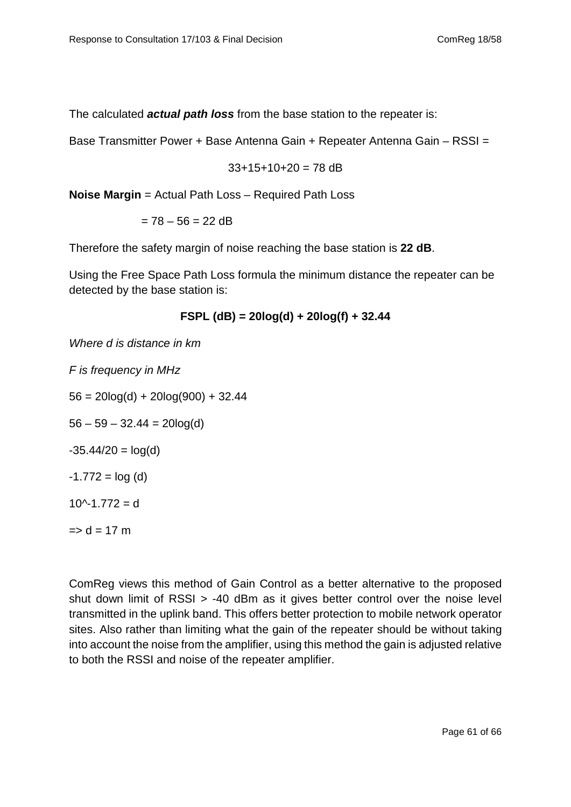The calculated *actual path loss* from the base station to the repeater is:

Base Transmitter Power + Base Antenna Gain + Repeater Antenna Gain – RSSI =

$$
33+15+10+20 = 78
$$
 dB

**Noise Margin** = Actual Path Loss – Required Path Loss

 $= 78 - 56 = 22$  dB

Therefore the safety margin of noise reaching the base station is **22 dB**.

Using the Free Space Path Loss formula the minimum distance the repeater can be detected by the base station is:

$$
FSPL (dB) = 20log(d) + 20log(f) + 32.44
$$

*Where d is distance in km*

*F is frequency in MHz*  $56 = 20\log(d) + 20\log(900) + 32.44$  $56 - 59 - 32.44 = 20\log(d)$  $-35.44/20 = log(d)$  $-1.772 = log(d)$  $10^{\circ}$ -1.772 = d  $\Rightarrow$  d = 17 m

ComReg views this method of Gain Control as a better alternative to the proposed shut down limit of RSSI > -40 dBm as it gives better control over the noise level transmitted in the uplink band. This offers better protection to mobile network operator sites. Also rather than limiting what the gain of the repeater should be without taking into account the noise from the amplifier, using this method the gain is adjusted relative to both the RSSI and noise of the repeater amplifier.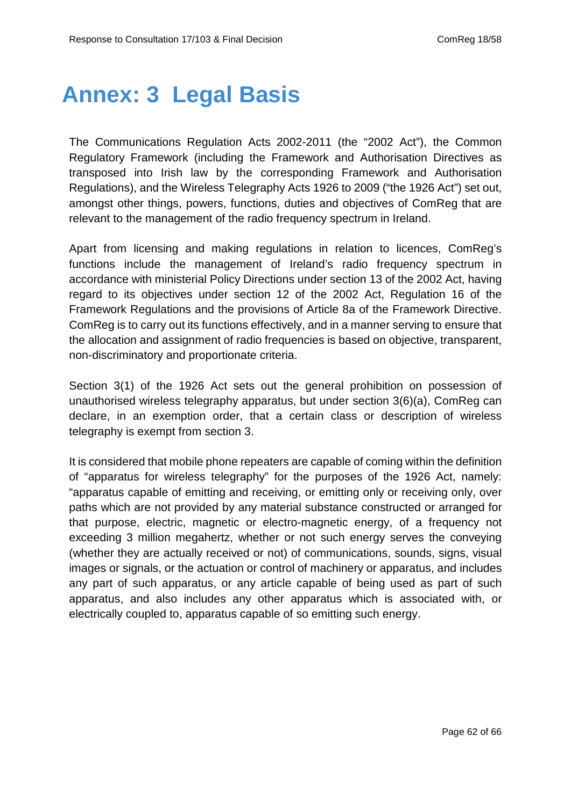## <span id="page-61-0"></span>**Annex: 3 Legal Basis**

The Communications Regulation Acts 2002-2011 (the "2002 Act"), the Common Regulatory Framework (including the Framework and Authorisation Directives as transposed into Irish law by the corresponding Framework and Authorisation Regulations), and the Wireless Telegraphy Acts 1926 to 2009 ("the 1926 Act") set out, amongst other things, powers, functions, duties and objectives of ComReg that are relevant to the management of the radio frequency spectrum in Ireland.

Apart from licensing and making regulations in relation to licences, ComReg's functions include the management of Ireland's radio frequency spectrum in accordance with ministerial Policy Directions under section 13 of the 2002 Act, having regard to its objectives under section 12 of the 2002 Act, Regulation 16 of the Framework Regulations and the provisions of Article 8a of the Framework Directive. ComReg is to carry out its functions effectively, and in a manner serving to ensure that the allocation and assignment of radio frequencies is based on objective, transparent, non-discriminatory and proportionate criteria.

Section 3(1) of the 1926 Act sets out the general prohibition on possession of unauthorised wireless telegraphy apparatus, but under section 3(6)(a), ComReg can declare, in an exemption order, that a certain class or description of wireless telegraphy is exempt from section 3.

It is considered that mobile phone repeaters are capable of coming within the definition of "apparatus for wireless telegraphy" for the purposes of the 1926 Act, namely: "apparatus capable of emitting and receiving, or emitting only or receiving only, over paths which are not provided by any material substance constructed or arranged for that purpose, electric, magnetic or electro-magnetic energy, of a frequency not exceeding 3 million megahertz, whether or not such energy serves the conveying (whether they are actually received or not) of communications, sounds, signs, visual images or signals, or the actuation or control of machinery or apparatus, and includes any part of such apparatus, or any article capable of being used as part of such apparatus, and also includes any other apparatus which is associated with, or electrically coupled to, apparatus capable of so emitting such energy.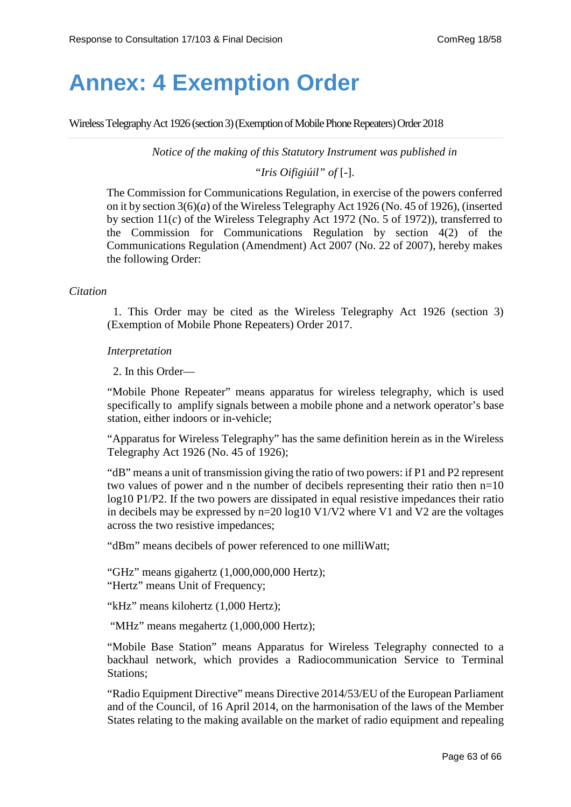## <span id="page-62-0"></span>**Annex: 4 Exemption Order**

Wireless Telegraphy Act 1926 (section 3) (Exemption of Mobile Phone Repeaters)Order 2018

*Notice of the making of this Statutory Instrument was published in*

*"Iris Oifigiúil" of* [-].

The Commission for Communications Regulation, in exercise of the powers conferred on it by section 3(6)(*a*) of the Wireless Telegraphy Act 1926 (No. 45 of 1926), (inserted by section 11(*c*) of the Wireless Telegraphy Act 1972 (No. 5 of 1972)), transferred to the Commission for Communications Regulation by section 4(2) of the Communications Regulation (Amendment) Act 2007 (No. 22 of 2007), hereby makes the following Order:

#### *Citation*

1. This Order may be cited as the Wireless Telegraphy Act 1926 (section 3) (Exemption of Mobile Phone Repeaters) Order 2017.

#### *Interpretation*

2. In this Order—

"Mobile Phone Repeater" means apparatus for wireless telegraphy, which is used specifically to amplify signals between a mobile phone and a network operator's base station, either indoors or in-vehicle;

"Apparatus for Wireless Telegraphy" has the same definition herein as in the [Wireless](http://www.irishstatutebook.ie/1926/en/act/pub/0045/index.html)  [Telegraphy Act 1926](http://www.irishstatutebook.ie/1926/en/act/pub/0045/index.html) (No. 45 of 1926);

"dB" means a unit of transmission giving the ratio of two powers: if P1 and P2 represent two values of power and n the number of decibels representing their ratio then n=10 log10 P1/P2. If the two powers are dissipated in equal resistive impedances their ratio in decibels may be expressed by n=20 log10 V1/V2 where V1 and V2 are the voltages across the two resistive impedances;

"dBm" means decibels of power referenced to one milliWatt;

"GHz" means gigahertz (1,000,000,000 Hertz); "Hertz" means Unit of Frequency;

"kHz" means kilohertz (1,000 Hertz);

"MHz" means megahertz (1,000,000 Hertz);

"Mobile Base Station" means Apparatus for Wireless Telegraphy connected to a backhaul network, which provides a Radiocommunication Service to Terminal Stations;

"Radio Equipment Directive" means Directive 2014/53/EU of the European Parliament and of the Council, of 16 April 2014, on the harmonisation of the laws of the Member States relating to the making available on the market of radio equipment and repealing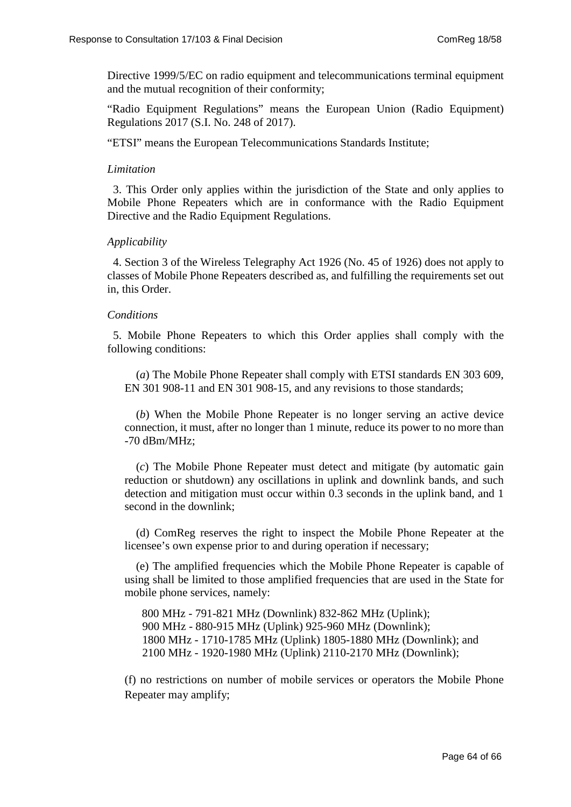Directive 1999/5/EC on radio equipment and telecommunications terminal equipment and the mutual recognition of their conformity;

"Radio Equipment Regulations" means the European Union (Radio Equipment) Regulations 2017 (S.I. No. 248 of 2017).

"ETSI" means the European Telecommunications Standards Institute;

#### *Limitation*

3. This Order only applies within the jurisdiction of the State and only applies to Mobile Phone Repeaters which are in conformance with the Radio Equipment Directive and the Radio Equipment Regulations.

#### *Applicability*

4. [Section 3](http://www.irishstatutebook.ie/1926/en/act/pub/0045/sec0003.html%23sec3) of the [Wireless Telegraphy Act 1926](http://www.irishstatutebook.ie/1926/en/act/pub/0045/index.html) (No. 45 of 1926) does not apply to classes of Mobile Phone Repeaters described as, and fulfilling the requirements set out in, this Order.

#### *Conditions*

5. Mobile Phone Repeaters to which this Order applies shall comply with the following conditions:

(*a*) The Mobile Phone Repeater shall comply with ETSI standards EN 303 609, EN 301 908-11 and EN 301 908-15, and any revisions to those standards;

(*b*) When the Mobile Phone Repeater is no longer serving an active device connection, it must, after no longer than 1 minute, reduce its power to no more than -70 dBm/MHz;

(*c*) The Mobile Phone Repeater must detect and mitigate (by automatic gain reduction or shutdown) any oscillations in uplink and downlink bands, and such detection and mitigation must occur within 0.3 seconds in the uplink band, and 1 second in the downlink;

(d) ComReg reserves the right to inspect the Mobile Phone Repeater at the licensee's own expense prior to and during operation if necessary;

(e) The amplified frequencies which the Mobile Phone Repeater is capable of using shall be limited to those amplified frequencies that are used in the State for mobile phone services, namely:

800 MHz - 791-821 MHz (Downlink) 832-862 MHz (Uplink); 900 MHz - 880-915 MHz (Uplink) 925-960 MHz (Downlink); 1800 MHz - 1710-1785 MHz (Uplink) 1805-1880 MHz (Downlink); and 2100 MHz - 1920-1980 MHz (Uplink) 2110-2170 MHz (Downlink);

(f) no restrictions on number of mobile services or operators the Mobile Phone Repeater may amplify;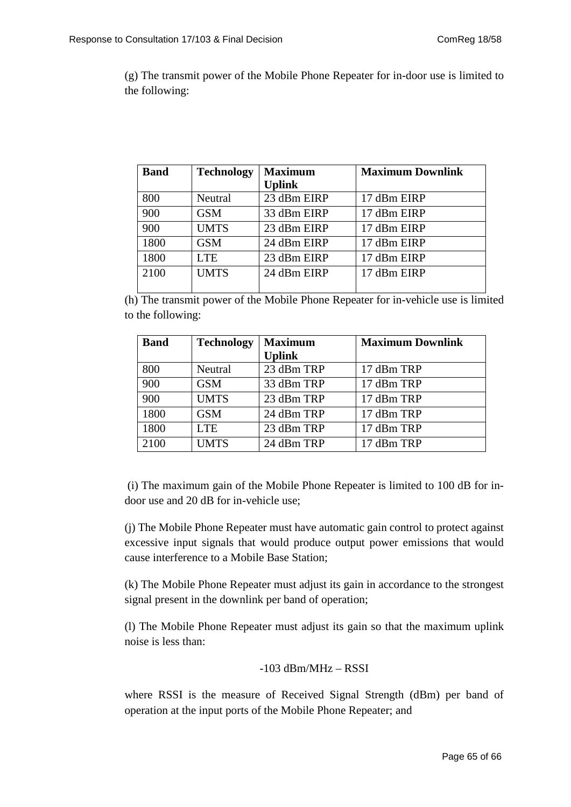(g) The transmit power of the Mobile Phone Repeater for in-door use is limited to the following:

| <b>Band</b> | <b>Technology</b> | <b>Maximum</b> | <b>Maximum Downlink</b> |
|-------------|-------------------|----------------|-------------------------|
|             |                   | <b>Uplink</b>  |                         |
| 800         | Neutral           | 23 dBm EIRP    | 17 dBm EIRP             |
| 900         | <b>GSM</b>        | 33 dBm EIRP    | 17 dBm EIRP             |
| 900         | <b>UMTS</b>       | 23 dBm EIRP    | 17 dBm EIRP             |
| 1800        | <b>GSM</b>        | 24 dBm EIRP    | 17 dBm EIRP             |
| 1800        | <b>LTE</b>        | 23 dBm EIRP    | 17 dBm EIRP             |
| 2100        | <b>UMTS</b>       | 24 dBm EIRP    | 17 dBm EIRP             |
|             |                   |                |                         |

(h) The transmit power of the Mobile Phone Repeater for in-vehicle use is limited to the following:

| <b>Band</b> | <b>Technology</b> | <b>Maximum</b> | <b>Maximum Downlink</b> |
|-------------|-------------------|----------------|-------------------------|
|             |                   | <b>Uplink</b>  |                         |
| 800         | Neutral           | 23 dBm TRP     | 17 dBm TRP              |
| 900         | <b>GSM</b>        | 33 dBm TRP     | 17 dBm TRP              |
| 900         | <b>UMTS</b>       | 23 dBm TRP     | 17 dBm TRP              |
| 1800        | <b>GSM</b>        | 24 dBm TRP     | 17 dBm TRP              |
| 1800        | <b>LTE</b>        | 23 dBm TRP     | 17 dBm TRP              |
| 2100        | <b>UMTS</b>       | 24 dBm TRP     | 17 dBm TRP              |

(i) The maximum gain of the Mobile Phone Repeater is limited to 100 dB for indoor use and 20 dB for in-vehicle use;

(j) The Mobile Phone Repeater must have automatic gain control to protect against excessive input signals that would produce output power emissions that would cause interference to a Mobile Base Station;

(k) The Mobile Phone Repeater must adjust its gain in accordance to the strongest signal present in the downlink per band of operation;

(l) The Mobile Phone Repeater must adjust its gain so that the maximum uplink noise is less than:

$$
-103\text{ dBm}/MHz-RSSI
$$

where RSSI is the measure of Received Signal Strength (dBm) per band of operation at the input ports of the Mobile Phone Repeater; and